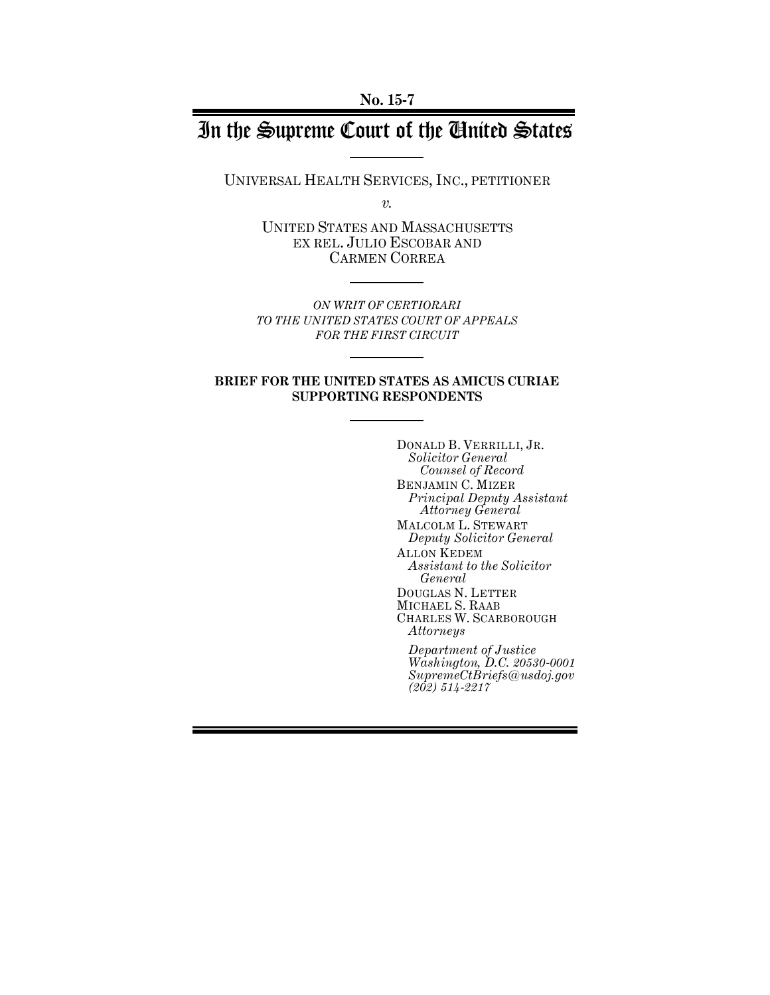# In the Supreme Court of the United States

UNIVERSAL HEALTH SERVICES, INC., PETITIONER

*v.*

UNITED STATES AND MASSACHUSETTS EX REL. JULIO ESCOBAR AND CARMEN CORREA

*ON WRIT OF CERTIORARI TO THE UNITED STATES COURT OF APPEALS FOR THE FIRST CIRCUIT*

### **BRIEF FOR THE UNITED STATES AS AMICUS CURIAE SUPPORTING RESPONDENTS**

DONALD B. VERRILLI, JR. *Solicitor General Counsel of Record* BENJAMIN C. MIZER *Principal Deputy Assistant Attorney General* MALCOLM L. STEWART *Deputy Solicitor General* ALLON KEDEM *Assistant to the Solicitor General* DOUGLAS N. LETTER MICHAEL S. RAAB CHARLES W. SCARBOROUGH *Attorneys Department of Justice Washington, D.C. 20530-0001 SupremeCtBriefs@usdoj.gov (202) 514-2217*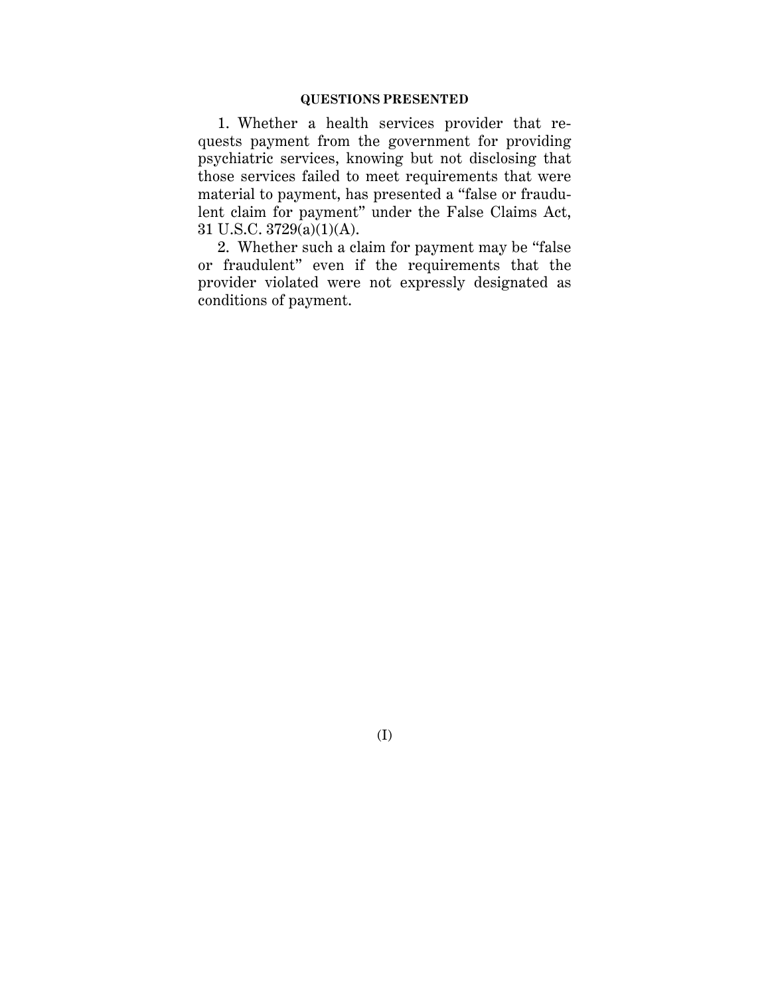### **QUESTIONS PRESENTED**

1. Whether a health services provider that requests payment from the government for providing psychiatric services, knowing but not disclosing that those services failed to meet requirements that were material to payment, has presented a "false or fraudulent claim for payment" under the False Claims Act, 31 U.S.C. 3729(a)(1)(A).

2. Whether such a claim for payment may be "false or fraudulent" even if the requirements that the provider violated were not expressly designated as conditions of payment.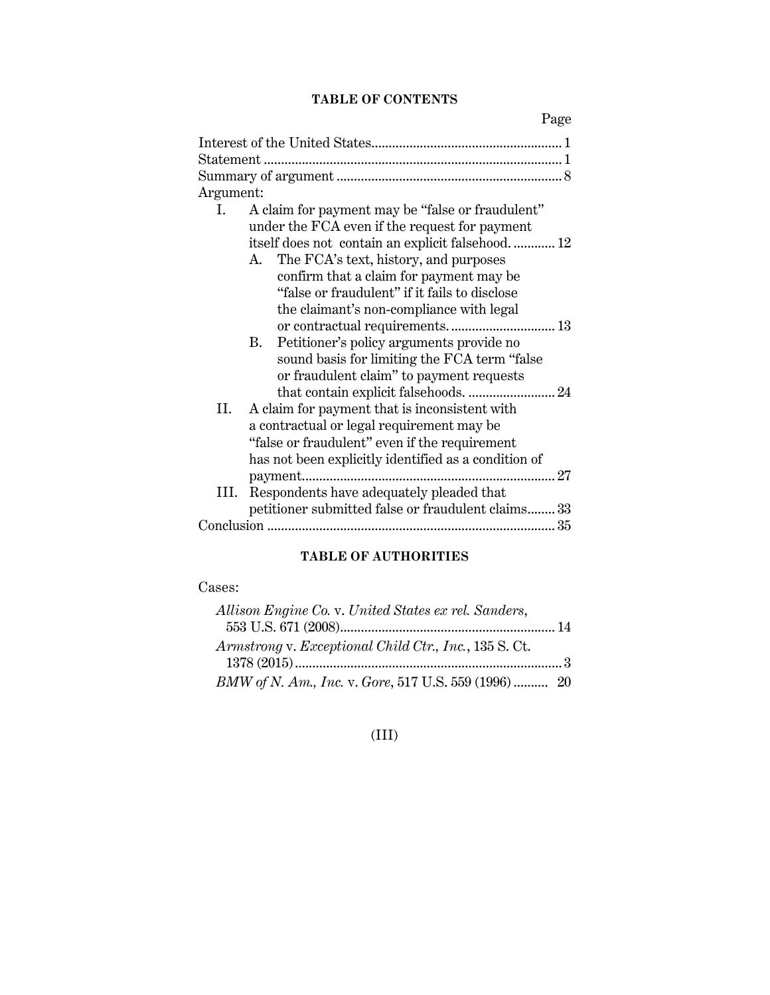## **TABLE OF CONTENTS**

Page

| Argument:                                                        |
|------------------------------------------------------------------|
| A claim for payment may be "false or fraudulent"<br>$\mathbf{L}$ |
| under the FCA even if the request for payment                    |
| itself does not contain an explicit falsehood 12                 |
| A. The FCA's text, history, and purposes                         |
| confirm that a claim for payment may be                          |
| "false or fraudulent" if it fails to disclose                    |
| the claimant's non-compliance with legal                         |
| or contractual requirements 13                                   |
|                                                                  |
| Petitioner's policy arguments provide no<br>B.                   |
| sound basis for limiting the FCA term "false"                    |
| or fraudulent claim" to payment requests                         |
|                                                                  |
| A claim for payment that is inconsistent with<br>II.             |
| a contractual or legal requirement may be                        |
| "false or fraudulent" even if the requirement                    |
| has not been explicitly identified as a condition of             |
| 27                                                               |
| Respondents have adequately pleaded that<br>III.                 |
| petitioner submitted false or fraudulent claims 33               |
|                                                                  |
|                                                                  |

## **TABLE OF AUTHORITIES**

## Cases:

| Allison Engine Co. v. United States ex rel. Sanders,  |  |
|-------------------------------------------------------|--|
|                                                       |  |
| Armstrong v. Exceptional Child Ctr., Inc., 135 S. Ct. |  |
|                                                       |  |
| BMW of N. Am., Inc. v. Gore, 517 U.S. 559 (1996)  20  |  |

## (III)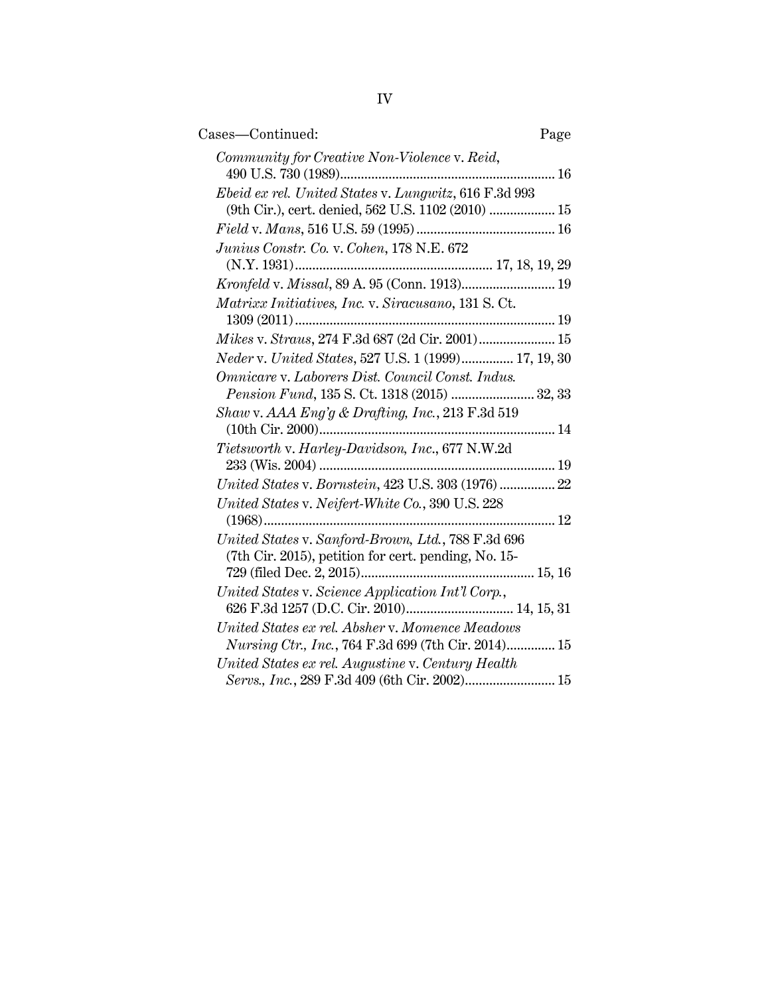| Cases-Continued:                                                                                              | Page |
|---------------------------------------------------------------------------------------------------------------|------|
| Community for Creative Non-Violence v. Reid,                                                                  |      |
| Ebeid ex rel. United States v. Lungwitz, 616 F.3d 993<br>(9th Cir.), cert. denied, 562 U.S. 1102 (2010)  15   |      |
|                                                                                                               |      |
| Junius Constr. Co. v. Cohen, 178 N.E. 672                                                                     |      |
|                                                                                                               |      |
| Matrixx Initiatives, Inc. v. Siracusano, 131 S. Ct.                                                           |      |
| Mikes v. Straus, 274 F.3d 687 (2d Cir. 2001) 15                                                               |      |
| Neder v. United States, 527 U.S. 1 (1999) 17, 19, 30                                                          |      |
| Omnicare v. Laborers Dist. Council Const. Indus.<br>Pension Fund, 135 S. Ct. 1318 (2015)  32, 33              |      |
| Shaw v. $AAA$ Eng'g & Drafting, Inc., 213 F.3d 519<br>(10th Cir. 2000)                                        |      |
| Tietsworth v. Harley-Davidson, Inc., 677 N.W.2d                                                               |      |
| United States v. Bornstein, 423 U.S. 303 (1976)  22                                                           |      |
| United States v. Neifert-White Co., 390 U.S. 228<br>$(1968)$                                                  | 12   |
| United States v. Sanford-Brown, Ltd., 788 F.3d 696<br>(7th Cir. 2015), petition for cert. pending, No. 15-    |      |
| United States v. Science Application Int'l Corp.,<br>626 F.3d 1257 (D.C. Cir. 2010) 14, 15, 31                |      |
| United States ex rel. Absher v. Momence Meadows<br><i>Nursing Ctr., Inc., 764 F.3d 699 (7th Cir. 2014) 15</i> |      |
| United States ex rel. Augustine v. Century Health<br>Servs., Inc., 289 F.3d 409 (6th Cir. 2002) 15            |      |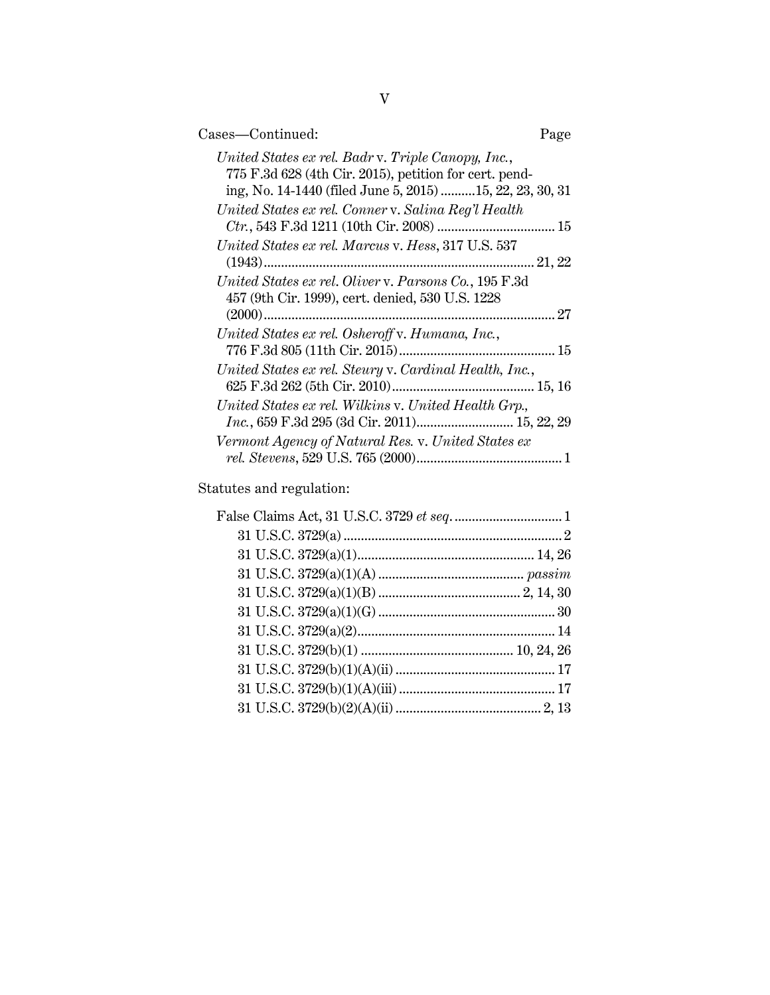| Cases-Continued:                                                                                                                                                         | Page |
|--------------------------------------------------------------------------------------------------------------------------------------------------------------------------|------|
| United States ex rel. Badr v. Triple Canopy, Inc.,<br>775 F.3d 628 (4th Cir. 2015), petition for cert. pend-<br>ing, No. 14-1440 (filed June 5, 2015) 15, 22, 23, 30, 31 |      |
| United States ex rel. Conner v. Salina Reg'l Health                                                                                                                      |      |
| United States ex rel. Marcus v. Hess, 317 U.S. 537                                                                                                                       |      |
| United States ex rel. Oliver v. Parsons Co., 195 F.3d<br>457 (9th Cir. 1999), cert. denied, 530 U.S. 1228                                                                |      |
| United States ex rel. Osheroff v. Humana, Inc.,                                                                                                                          |      |
| United States ex rel. Steury v. Cardinal Health, Inc.,                                                                                                                   |      |
| United States ex rel. Wilkins v. United Health Grp.,<br>Inc., 659 F.3d 295 (3d Cir. 2011) 15, 22, 29                                                                     |      |
| Vermont Agency of Natural Res. v. United States ex                                                                                                                       |      |

Statutes and regulation: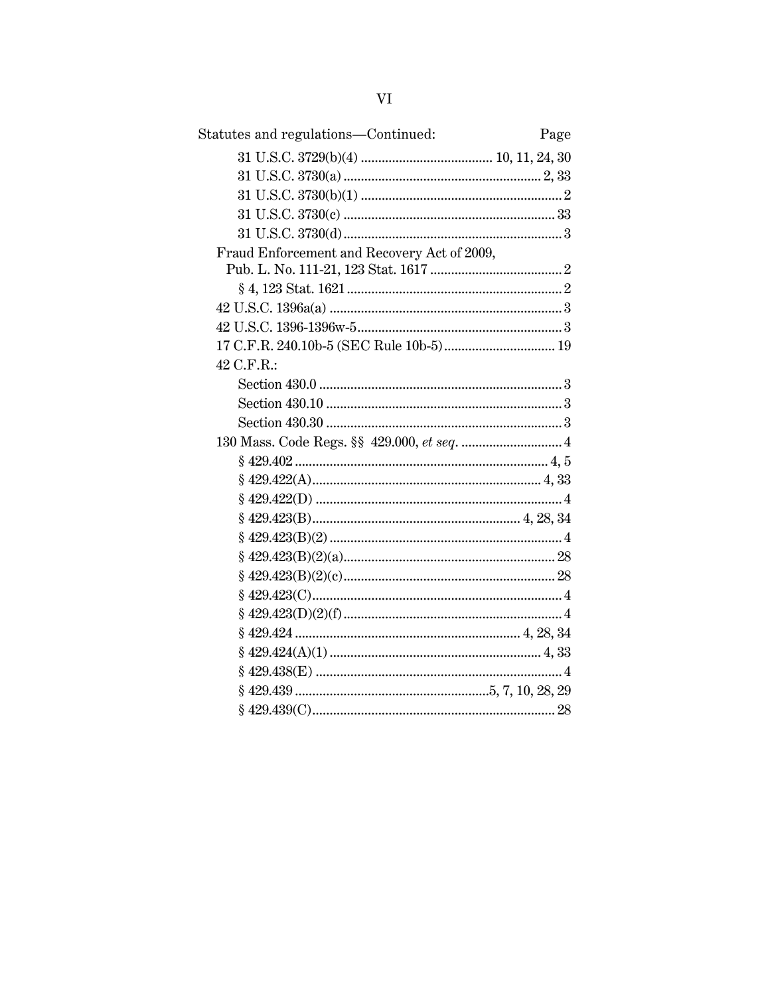| Statutes and regulations-Continued:         | Page |
|---------------------------------------------|------|
|                                             |      |
|                                             |      |
|                                             |      |
|                                             |      |
|                                             |      |
| Fraud Enforcement and Recovery Act of 2009, |      |
|                                             |      |
|                                             |      |
|                                             |      |
|                                             |      |
|                                             |      |
| 42 C.F.R.:                                  |      |
|                                             |      |
|                                             |      |
|                                             |      |
|                                             |      |
|                                             |      |
|                                             |      |
|                                             |      |
|                                             |      |
|                                             |      |
|                                             |      |
|                                             |      |
|                                             |      |
|                                             |      |
|                                             |      |
|                                             |      |
|                                             |      |
|                                             |      |
|                                             |      |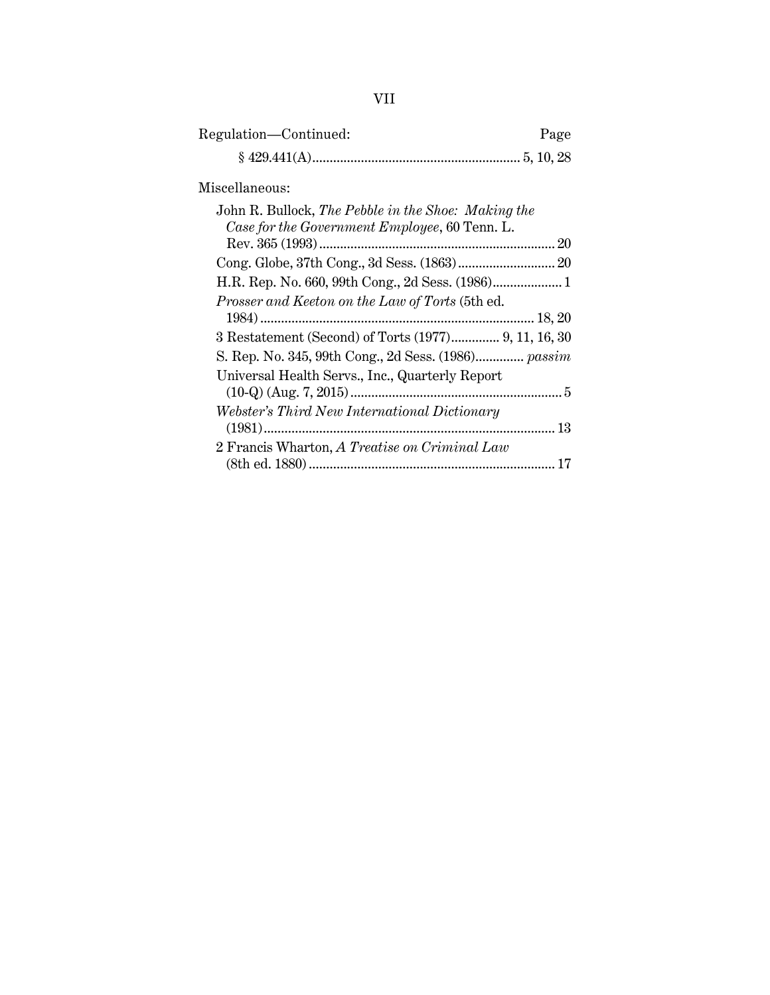| Regulation—Continued: | Page |
|-----------------------|------|
|                       |      |

### Miscellaneous:

| John R. Bullock, The Pebble in the Shoe: Making the |
|-----------------------------------------------------|
| Case for the Government Employee, 60 Tenn. L.       |
|                                                     |
|                                                     |
|                                                     |
| Prosser and Keeton on the Law of Torts (5th ed.     |
|                                                     |
|                                                     |
| S. Rep. No. 345, 99th Cong., 2d Sess. (1986) passim |
| Universal Health Servs., Inc., Quarterly Report     |
|                                                     |
| Webster's Third New International Dictionary        |
|                                                     |
| 2 Francis Wharton, A Treatise on Criminal Law       |
| 17                                                  |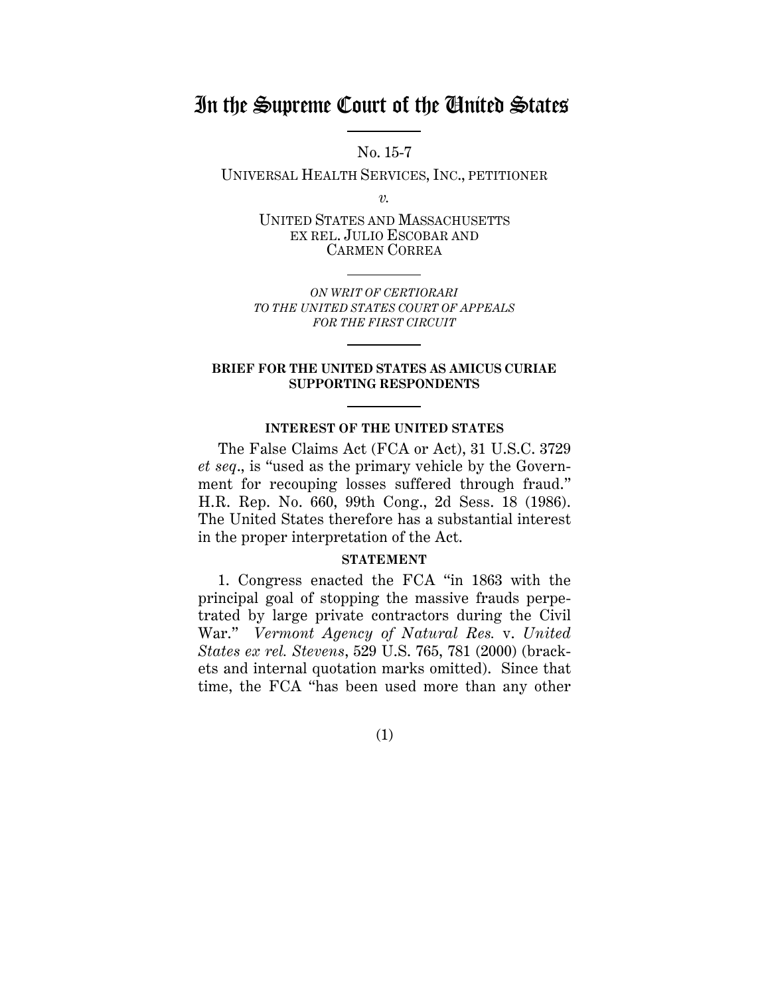## In the Supreme Court of the United States

No. 15-7

UNIVERSAL HEALTH SERVICES, INC., PETITIONER

*v.*

UNITED STATES AND MASSACHUSETTS EX REL. JULIO ESCOBAR AND CARMEN CORREA

*ON WRIT OF CERTIORARI TO THE UNITED STATES COURT OF APPEALS FOR THE FIRST CIRCUIT*

### **BRIEF FOR THE UNITED STATES AS AMICUS CURIAE SUPPORTING RESPONDENTS**

### **INTEREST OF THE UNITED STATES**

The False Claims Act (FCA or Act), 31 U.S.C. 3729 *et seq*., is "used as the primary vehicle by the Government for recouping losses suffered through fraud." H.R. Rep. No. 660, 99th Cong., 2d Sess. 18 (1986). The United States therefore has a substantial interest in the proper interpretation of the Act.

### **STATEMENT**

1. Congress enacted the FCA "in 1863 with the principal goal of stopping the massive frauds perpetrated by large private contractors during the Civil War." *Vermont Agency of Natural Res.* v. *United States ex rel. Stevens*, 529 U.S. 765, 781 (2000) (brackets and internal quotation marks omitted). Since that time, the FCA "has been used more than any other

(1)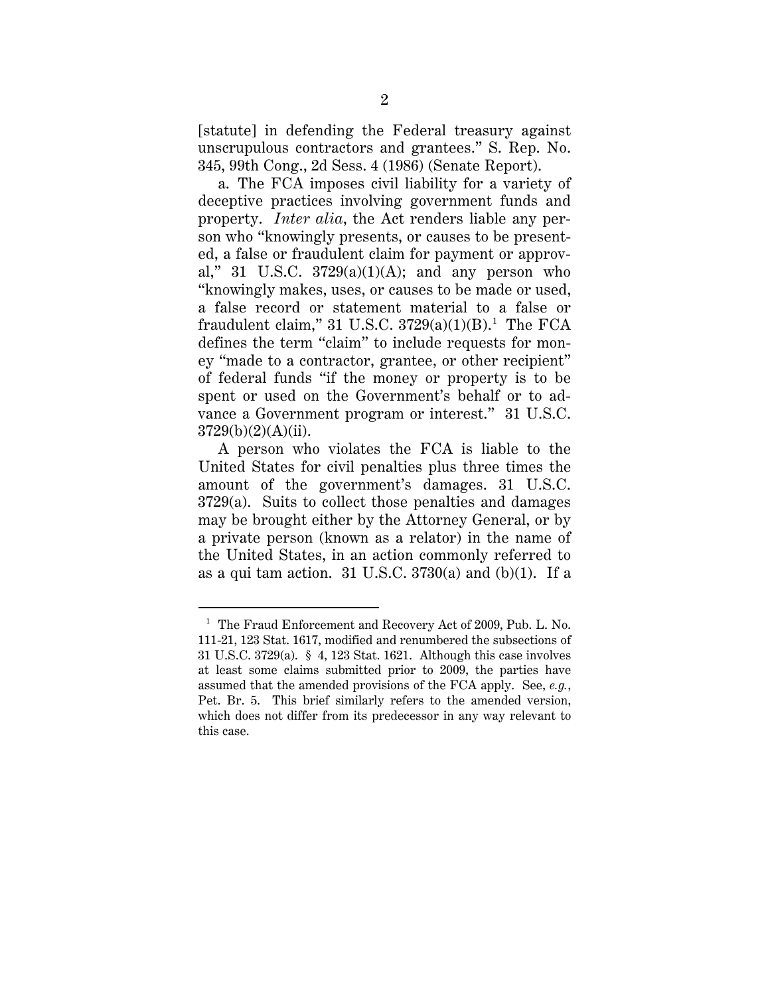[statute] in defending the Federal treasury against unscrupulous contractors and grantees." S. Rep. No. 345, 99th Cong., 2d Sess. 4 (1986) (Senate Report).

a. The FCA imposes civil liability for a variety of deceptive practices involving government funds and property. *Inter alia*, the Act renders liable any person who "knowingly presents, or causes to be presented, a false or fraudulent claim for payment or approval," 31 U.S.C.  $3729(a)(1)(A)$ ; and any person who "knowingly makes, uses, or causes to be made or used, a false record or statement material to a false or fraudulent claim," 31 U.S.C. 3729(a)(1)(B).<sup>1</sup> The FCA defines the term "claim" to include requests for money "made to a contractor, grantee, or other recipient" of federal funds "if the money or property is to be spent or used on the Government's behalf or to advance a Government program or interest." 31 U.S.C.  $3729(b)(2)(A)(ii)$ .

A person who violates the FCA is liable to the United States for civil penalties plus three times the amount of the government's damages. 31 U.S.C. 3729(a). Suits to collect those penalties and damages may be brought either by the Attorney General, or by a private person (known as a relator) in the name of the United States, in an action commonly referred to as a qui tam action.  $31 \text{ U.S.C. } 3730(a)$  and (b)(1). If a

<sup>&</sup>lt;sup>1</sup> The Fraud Enforcement and Recovery Act of 2009, Pub. L. No. 111-21, 123 Stat. 1617, modified and renumbered the subsections of 31 U.S.C. 3729(a). § 4, 123 Stat. 1621. Although this case involves at least some claims submitted prior to 2009, the parties have assumed that the amended provisions of the FCA apply. See, *e.g.*, Pet. Br. 5. This brief similarly refers to the amended version, which does not differ from its predecessor in any way relevant to this case.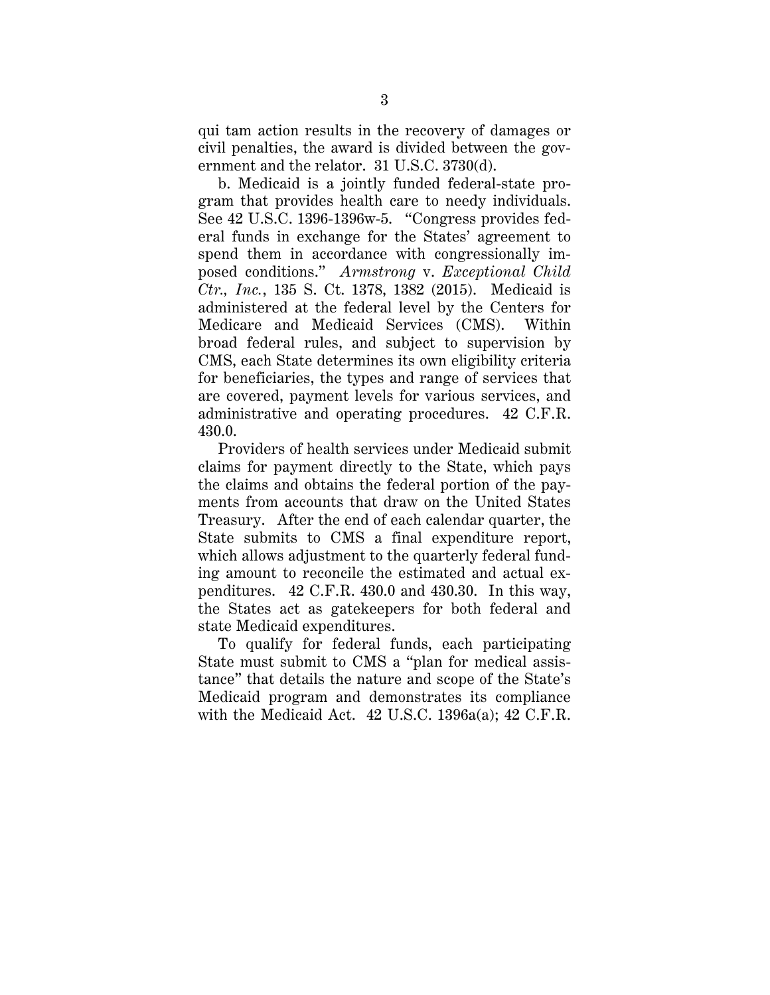qui tam action results in the recovery of damages or civil penalties, the award is divided between the government and the relator. 31 U.S.C. 3730(d).

b. Medicaid is a jointly funded federal-state program that provides health care to needy individuals. See 42 U.S.C. 1396-1396w-5. "Congress provides federal funds in exchange for the States' agreement to spend them in accordance with congressionally imposed conditions." *Armstrong* v. *Exceptional Child Ctr., Inc.*, 135 S. Ct. 1378, 1382 (2015). Medicaid is administered at the federal level by the Centers for Medicare and Medicaid Services (CMS). Within broad federal rules, and subject to supervision by CMS, each State determines its own eligibility criteria for beneficiaries, the types and range of services that are covered, payment levels for various services, and administrative and operating procedures. 42 C.F.R. 430.0.

Providers of health services under Medicaid submit claims for payment directly to the State, which pays the claims and obtains the federal portion of the payments from accounts that draw on the United States Treasury. After the end of each calendar quarter, the State submits to CMS a final expenditure report, which allows adjustment to the quarterly federal funding amount to reconcile the estimated and actual expenditures. 42 C.F.R. 430.0 and 430.30. In this way, the States act as gatekeepers for both federal and state Medicaid expenditures.

To qualify for federal funds, each participating State must submit to CMS a "plan for medical assistance" that details the nature and scope of the State's Medicaid program and demonstrates its compliance with the Medicaid Act. 42 U.S.C. 1396a(a); 42 C.F.R.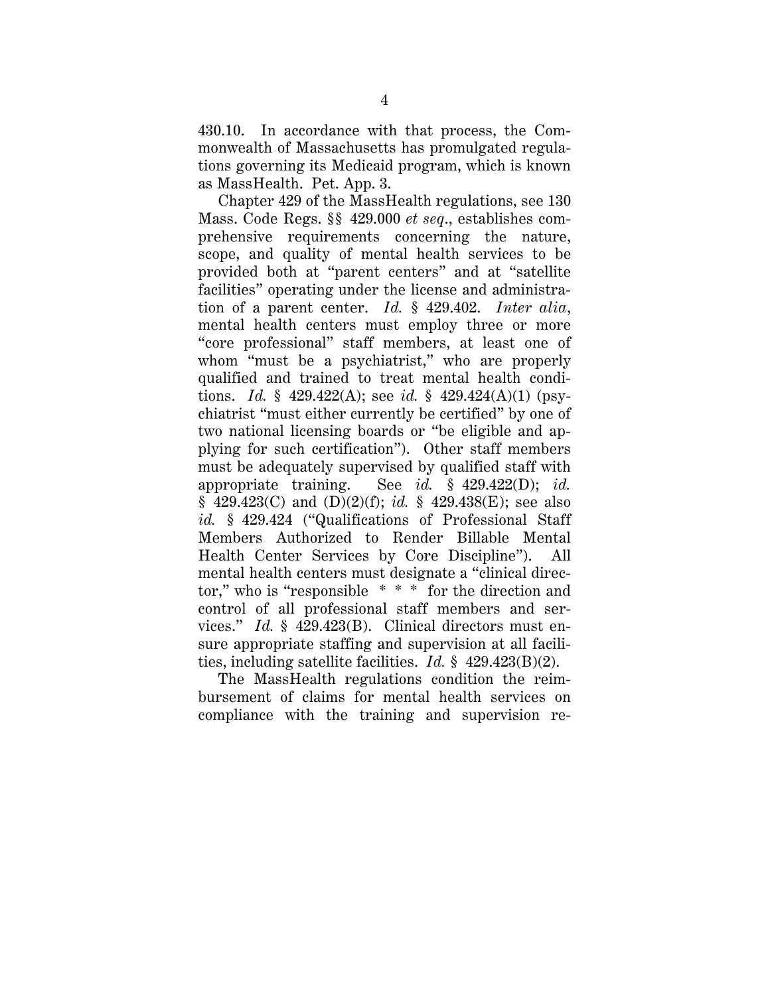430.10. In accordance with that process, the Commonwealth of Massachusetts has promulgated regulations governing its Medicaid program, which is known as MassHealth. Pet. App. 3.

Chapter 429 of the MassHealth regulations, see 130 Mass. Code Regs. §§ 429.000 *et seq*., establishes comprehensive requirements concerning the nature, scope, and quality of mental health services to be provided both at "parent centers" and at "satellite facilities" operating under the license and administration of a parent center. *Id.* § 429.402. *Inter alia*, mental health centers must employ three or more "core professional" staff members, at least one of whom "must be a psychiatrist," who are properly qualified and trained to treat mental health conditions. *Id.* § 429.422(A); see *id.* § 429.424(A)(1) (psychiatrist "must either currently be certified" by one of two national licensing boards or "be eligible and applying for such certification"). Other staff members must be adequately supervised by qualified staff with appropriate training. See *id.* § 429.422(D); *id.* § 429.423(C) and (D)(2)(f); *id.* § 429.438(E); see also *id.* § 429.424 ("Qualifications of Professional Staff Members Authorized to Render Billable Mental Health Center Services by Core Discipline"). All mental health centers must designate a "clinical director," who is "responsible \* \* \* for the direction and control of all professional staff members and services." *Id.* § 429.423(B). Clinical directors must ensure appropriate staffing and supervision at all facilities, including satellite facilities. *Id.* § 429.423(B)(2).

The MassHealth regulations condition the reimbursement of claims for mental health services on compliance with the training and supervision re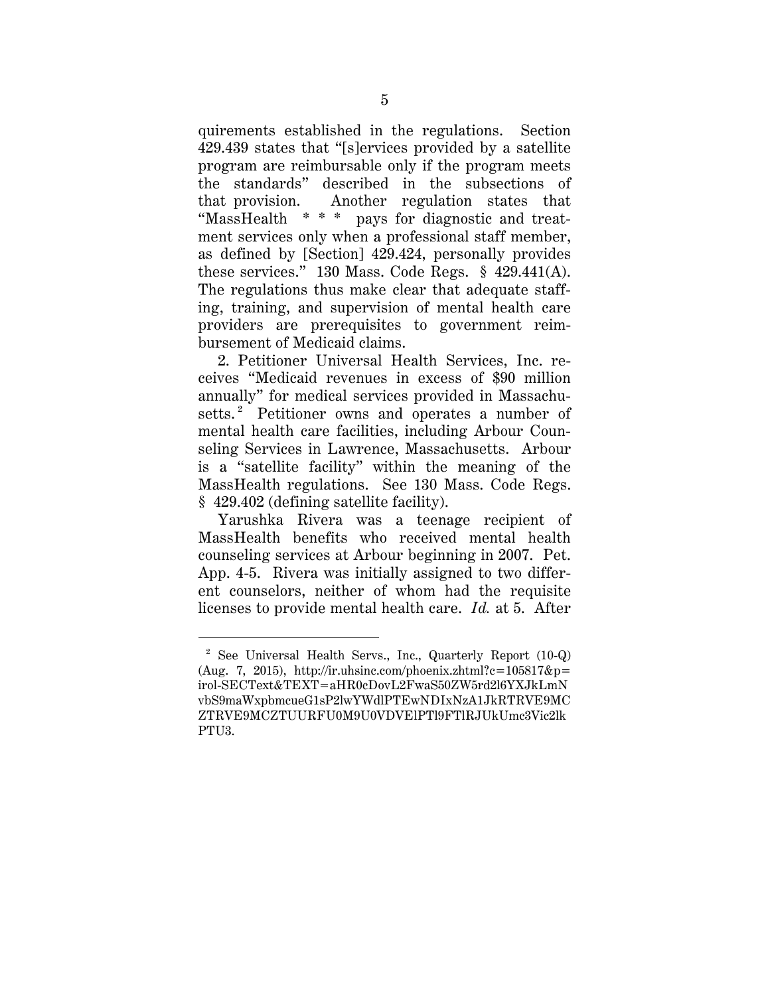quirements established in the regulations. Section 429.439 states that "[s]ervices provided by a satellite program are reimbursable only if the program meets the standards" described in the subsections of that provision. Another regulation states that "MassHealth \* \* \* pays for diagnostic and treatment services only when a professional staff member, as defined by [Section] 429.424, personally provides these services." 130 Mass. Code Regs. § 429.441(A). The regulations thus make clear that adequate staffing, training, and supervision of mental health care providers are prerequisites to government reimbursement of Medicaid claims.

2. Petitioner Universal Health Services, Inc. receives "Medicaid revenues in excess of \$90 million annually" for medical services provided in Massachusetts.<sup>2</sup> Petitioner owns and operates a number of mental health care facilities, including Arbour Counseling Services in Lawrence, Massachusetts. Arbour is a "satellite facility" within the meaning of the MassHealth regulations. See 130 Mass. Code Regs. § 429.402 (defining satellite facility).

Yarushka Rivera was a teenage recipient of MassHealth benefits who received mental health counseling services at Arbour beginning in 2007. Pet. App. 4-5. Rivera was initially assigned to two different counselors, neither of whom had the requisite licenses to provide mental health care. *Id.* at 5. After

 <sup>2</sup> See Universal Health Servs., Inc., Quarterly Report (10-Q) (Aug. 7, 2015), http://ir.uhsinc.com/phoenix.zhtml?c=105817&p= irol-SECText&TEXT=aHR0cDovL2FwaS50ZW5rd2l6YXJkLmN vbS9maWxpbmcueG1sP2lwYWdlPTEwNDIxNzA1JkRTRVE9MC ZTRVE9MCZTUURFU0M9U0VDVElPTl9FTlRJUkUmc3Vic2lk PTU3.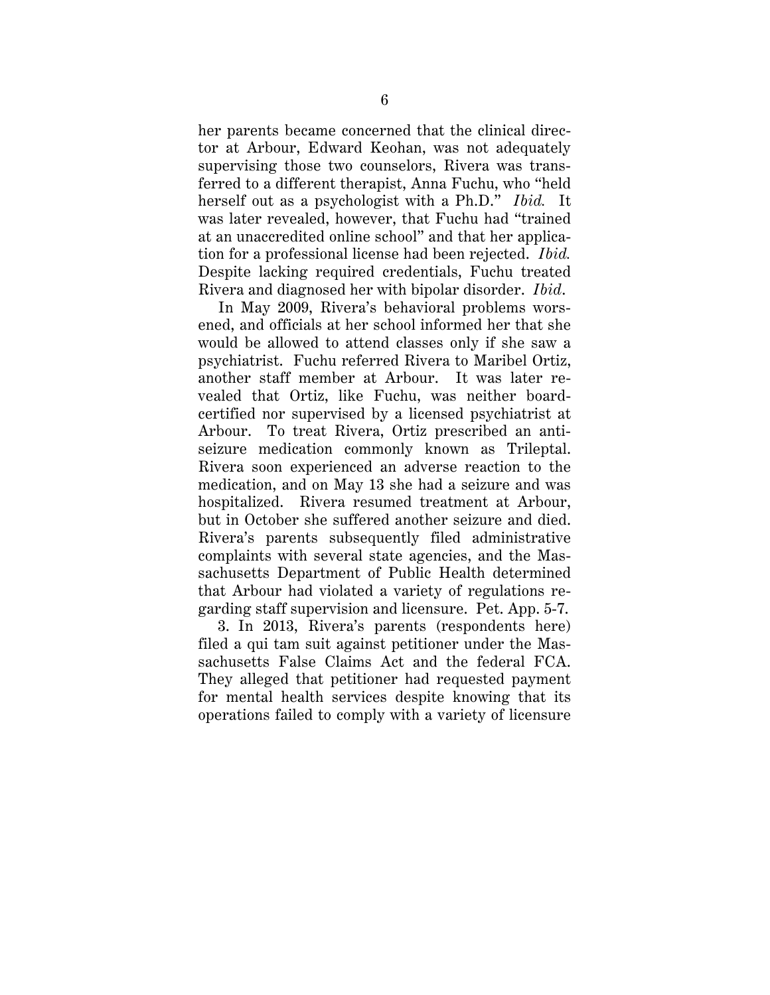her parents became concerned that the clinical director at Arbour, Edward Keohan, was not adequately supervising those two counselors, Rivera was transferred to a different therapist, Anna Fuchu, who "held herself out as a psychologist with a Ph.D." *Ibid.* It was later revealed, however, that Fuchu had "trained at an unaccredited online school" and that her application for a professional license had been rejected. *Ibid.* Despite lacking required credentials, Fuchu treated Rivera and diagnosed her with bipolar disorder. *Ibid*.

In May 2009, Rivera's behavioral problems worsened, and officials at her school informed her that she would be allowed to attend classes only if she saw a psychiatrist. Fuchu referred Rivera to Maribel Ortiz, another staff member at Arbour. It was later revealed that Ortiz, like Fuchu, was neither boardcertified nor supervised by a licensed psychiatrist at Arbour. To treat Rivera, Ortiz prescribed an antiseizure medication commonly known as Trileptal. Rivera soon experienced an adverse reaction to the medication, and on May 13 she had a seizure and was hospitalized. Rivera resumed treatment at Arbour, but in October she suffered another seizure and died. Rivera's parents subsequently filed administrative complaints with several state agencies, and the Massachusetts Department of Public Health determined that Arbour had violated a variety of regulations regarding staff supervision and licensure. Pet. App. 5-7.

3. In 2013, Rivera's parents (respondents here) filed a qui tam suit against petitioner under the Massachusetts False Claims Act and the federal FCA. They alleged that petitioner had requested payment for mental health services despite knowing that its operations failed to comply with a variety of licensure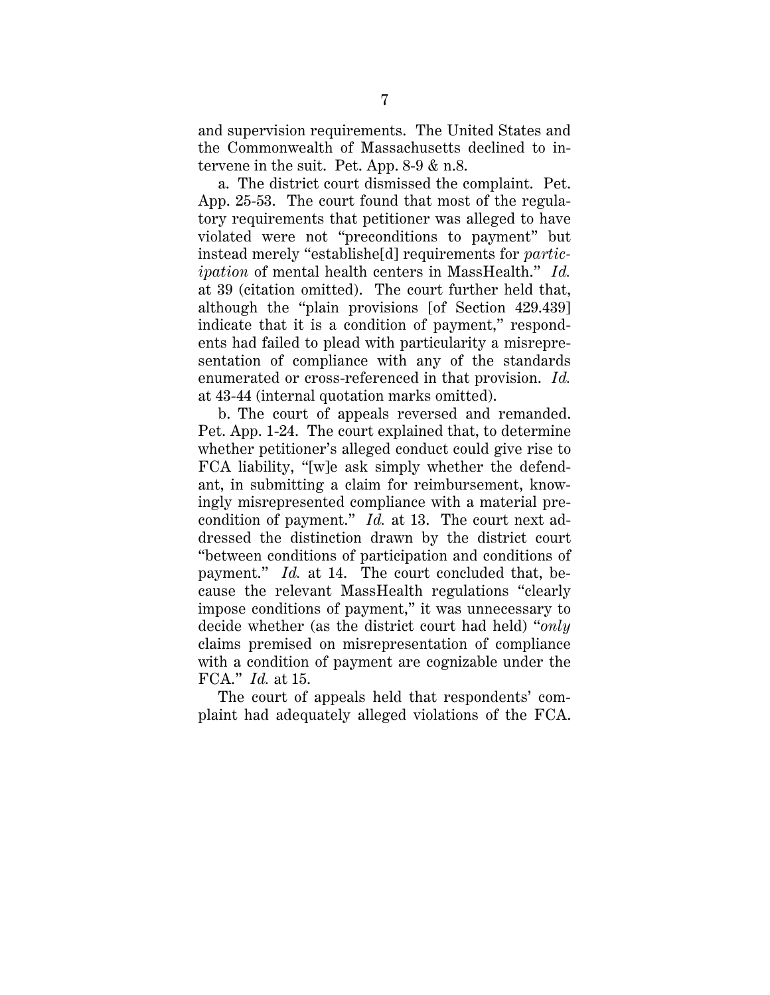and supervision requirements. The United States and the Commonwealth of Massachusetts declined to intervene in the suit. Pet. App. 8-9 & n.8.

a. The district court dismissed the complaint. Pet. App. 25-53. The court found that most of the regulatory requirements that petitioner was alleged to have violated were not "preconditions to payment" but instead merely "establishe[d] requirements for *participation* of mental health centers in MassHealth." *Id.* at 39 (citation omitted). The court further held that, although the "plain provisions [of Section 429.439] indicate that it is a condition of payment," respondents had failed to plead with particularity a misrepresentation of compliance with any of the standards enumerated or cross-referenced in that provision. *Id.* at 43-44 (internal quotation marks omitted).

b. The court of appeals reversed and remanded. Pet. App. 1-24. The court explained that, to determine whether petitioner's alleged conduct could give rise to FCA liability, "[w]e ask simply whether the defendant, in submitting a claim for reimbursement, knowingly misrepresented compliance with a material precondition of payment." *Id.* at 13. The court next addressed the distinction drawn by the district court "between conditions of participation and conditions of payment." *Id.* at 14. The court concluded that, because the relevant MassHealth regulations "clearly impose conditions of payment," it was unnecessary to decide whether (as the district court had held) "*only* claims premised on misrepresentation of compliance with a condition of payment are cognizable under the FCA." *Id.* at 15.

The court of appeals held that respondents' complaint had adequately alleged violations of the FCA.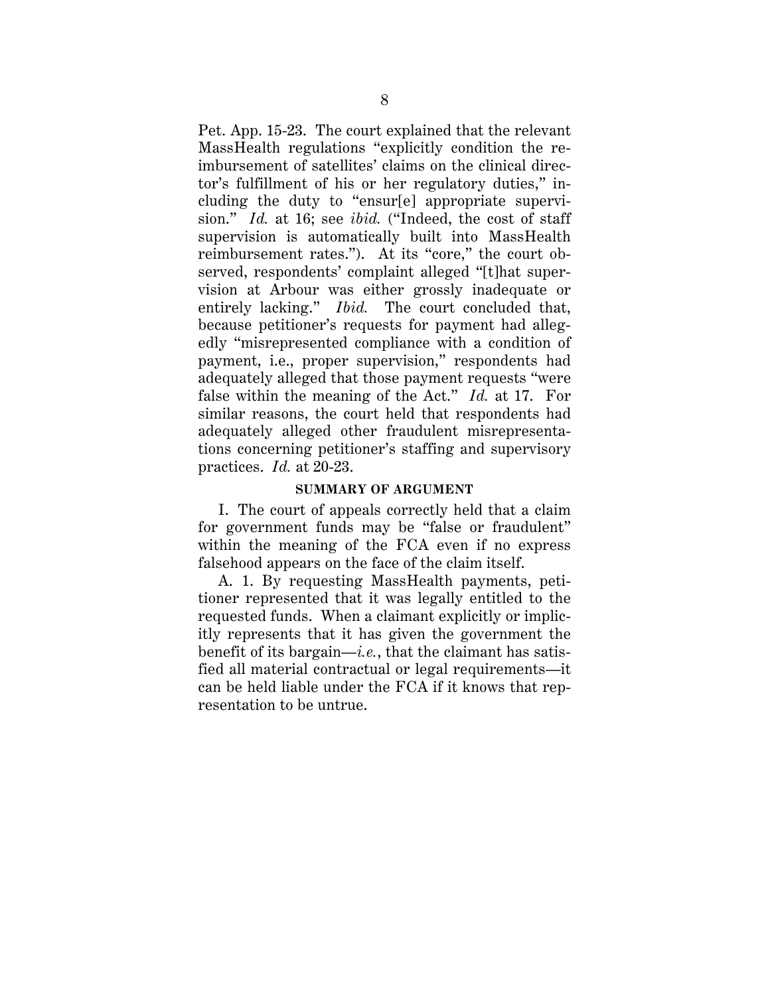Pet. App. 15-23. The court explained that the relevant MassHealth regulations "explicitly condition the reimbursement of satellites' claims on the clinical director's fulfillment of his or her regulatory duties," including the duty to "ensur[e] appropriate supervision." *Id.* at 16; see *ibid.* ("Indeed, the cost of staff supervision is automatically built into MassHealth reimbursement rates."). At its "core," the court observed, respondents' complaint alleged "[t]hat supervision at Arbour was either grossly inadequate or entirely lacking." *Ibid.* The court concluded that, because petitioner's requests for payment had allegedly "misrepresented compliance with a condition of payment, i.e., proper supervision," respondents had adequately alleged that those payment requests "were false within the meaning of the Act." *Id.* at 17. For similar reasons, the court held that respondents had adequately alleged other fraudulent misrepresentations concerning petitioner's staffing and supervisory practices. *Id.* at 20-23.

### **SUMMARY OF ARGUMENT**

I. The court of appeals correctly held that a claim for government funds may be "false or fraudulent" within the meaning of the FCA even if no express falsehood appears on the face of the claim itself.

A. 1. By requesting MassHealth payments, petitioner represented that it was legally entitled to the requested funds. When a claimant explicitly or implicitly represents that it has given the government the benefit of its bargain—*i.e.*, that the claimant has satisfied all material contractual or legal requirements—it can be held liable under the FCA if it knows that representation to be untrue.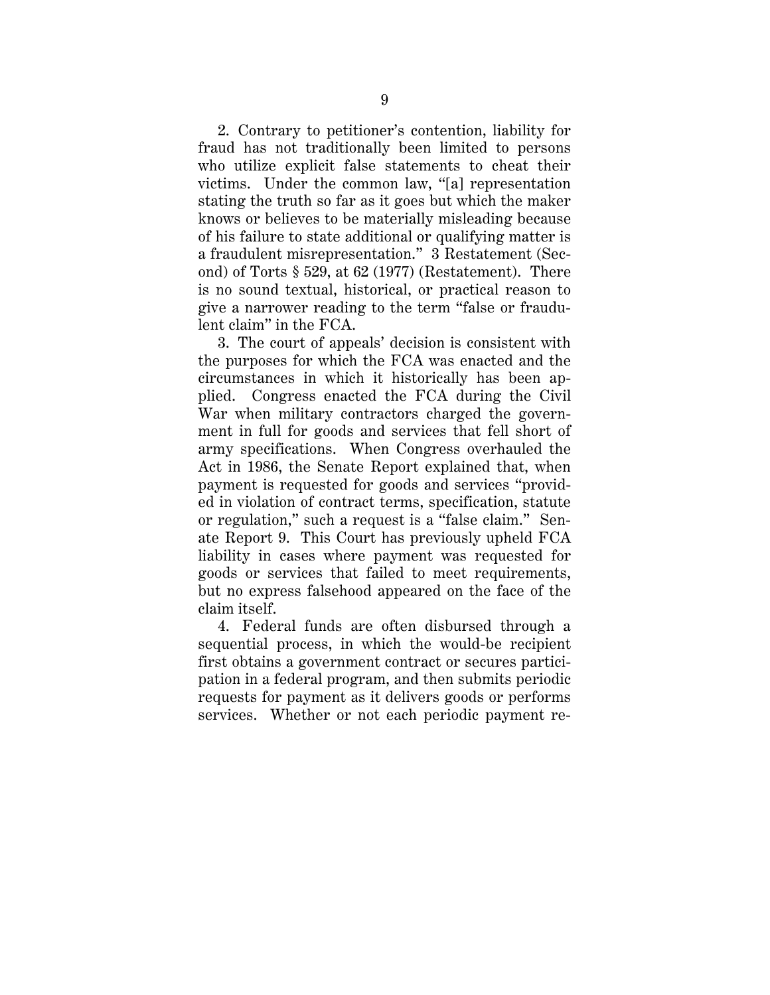2. Contrary to petitioner's contention, liability for fraud has not traditionally been limited to persons who utilize explicit false statements to cheat their victims. Under the common law, "[a] representation stating the truth so far as it goes but which the maker knows or believes to be materially misleading because of his failure to state additional or qualifying matter is a fraudulent misrepresentation." 3 Restatement (Second) of Torts § 529, at 62 (1977) (Restatement). There is no sound textual, historical, or practical reason to give a narrower reading to the term "false or fraudulent claim" in the FCA.

3. The court of appeals' decision is consistent with the purposes for which the FCA was enacted and the circumstances in which it historically has been applied. Congress enacted the FCA during the Civil War when military contractors charged the government in full for goods and services that fell short of army specifications. When Congress overhauled the Act in 1986, the Senate Report explained that, when payment is requested for goods and services "provided in violation of contract terms, specification, statute or regulation," such a request is a "false claim." Senate Report 9. This Court has previously upheld FCA liability in cases where payment was requested for goods or services that failed to meet requirements, but no express falsehood appeared on the face of the claim itself.

4. Federal funds are often disbursed through a sequential process, in which the would-be recipient first obtains a government contract or secures participation in a federal program, and then submits periodic requests for payment as it delivers goods or performs services. Whether or not each periodic payment re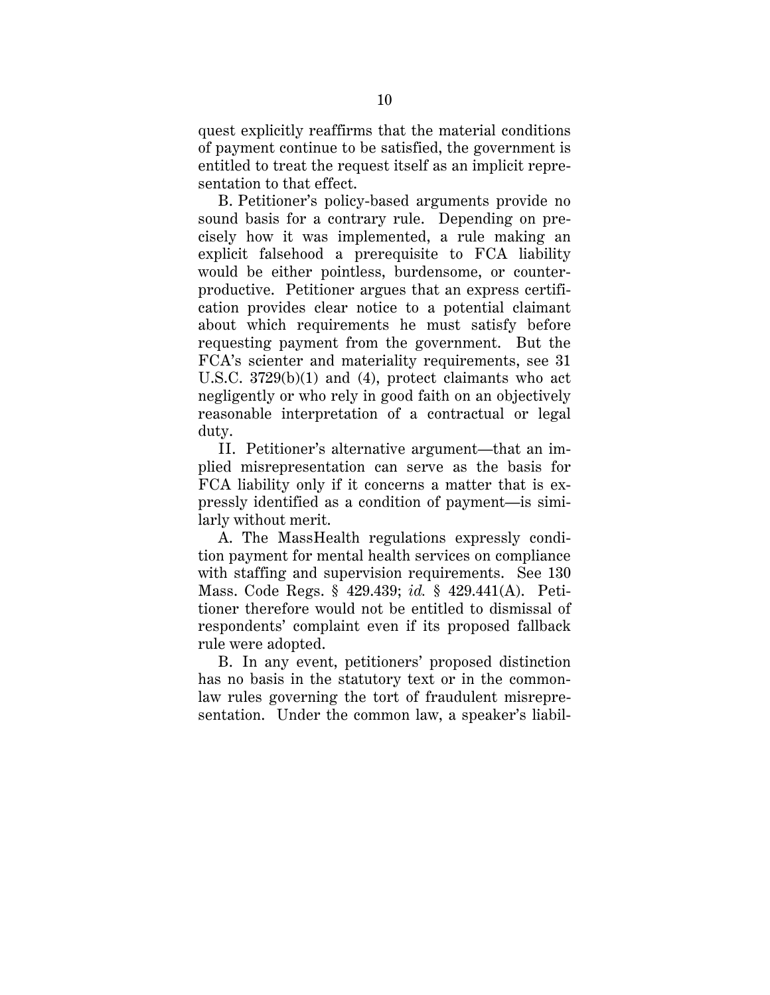quest explicitly reaffirms that the material conditions of payment continue to be satisfied, the government is entitled to treat the request itself as an implicit representation to that effect.

B. Petitioner's policy-based arguments provide no sound basis for a contrary rule. Depending on precisely how it was implemented, a rule making an explicit falsehood a prerequisite to FCA liability would be either pointless, burdensome, or counterproductive. Petitioner argues that an express certification provides clear notice to a potential claimant about which requirements he must satisfy before requesting payment from the government. But the FCA's scienter and materiality requirements, see 31 U.S.C. 3729(b)(1) and (4), protect claimants who act negligently or who rely in good faith on an objectively reasonable interpretation of a contractual or legal duty.

II. Petitioner's alternative argument—that an implied misrepresentation can serve as the basis for FCA liability only if it concerns a matter that is expressly identified as a condition of payment—is similarly without merit.

A. The MassHealth regulations expressly condition payment for mental health services on compliance with staffing and supervision requirements. See 130 Mass. Code Regs. § 429.439; *id.* § 429.441(A). Petitioner therefore would not be entitled to dismissal of respondents' complaint even if its proposed fallback rule were adopted.

B. In any event, petitioners' proposed distinction has no basis in the statutory text or in the commonlaw rules governing the tort of fraudulent misrepresentation. Under the common law, a speaker's liabil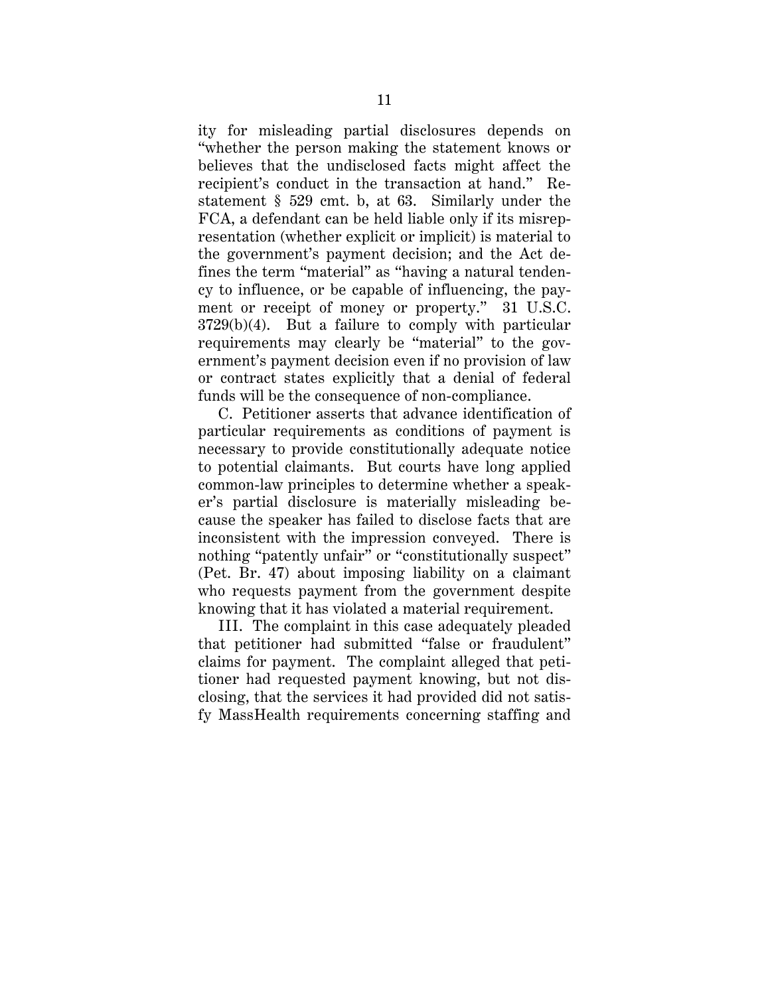ity for misleading partial disclosures depends on "whether the person making the statement knows or believes that the undisclosed facts might affect the recipient's conduct in the transaction at hand." Restatement § 529 cmt. b, at 63. Similarly under the FCA, a defendant can be held liable only if its misrepresentation (whether explicit or implicit) is material to the government's payment decision; and the Act defines the term "material" as "having a natural tendency to influence, or be capable of influencing, the payment or receipt of money or property." 31 U.S.C. 3729(b)(4). But a failure to comply with particular requirements may clearly be "material" to the government's payment decision even if no provision of law or contract states explicitly that a denial of federal funds will be the consequence of non-compliance.

C. Petitioner asserts that advance identification of particular requirements as conditions of payment is necessary to provide constitutionally adequate notice to potential claimants. But courts have long applied common-law principles to determine whether a speaker's partial disclosure is materially misleading because the speaker has failed to disclose facts that are inconsistent with the impression conveyed. There is nothing "patently unfair" or "constitutionally suspect" (Pet. Br. 47) about imposing liability on a claimant who requests payment from the government despite knowing that it has violated a material requirement.

III. The complaint in this case adequately pleaded that petitioner had submitted "false or fraudulent" claims for payment. The complaint alleged that petitioner had requested payment knowing, but not disclosing, that the services it had provided did not satisfy MassHealth requirements concerning staffing and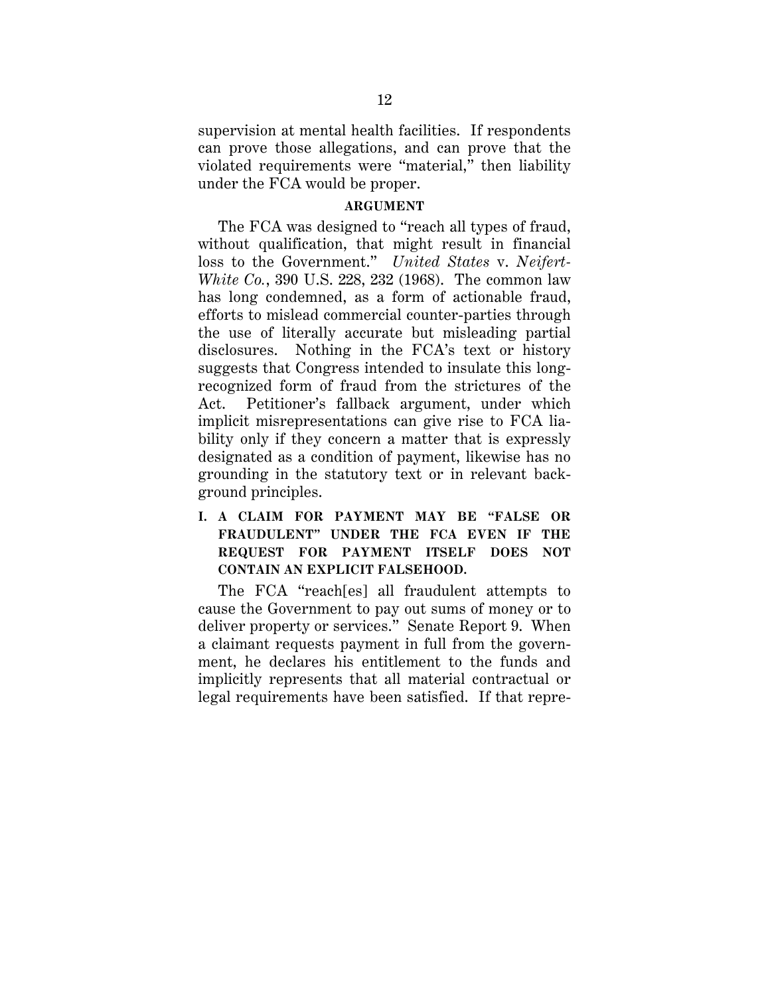supervision at mental health facilities. If respondents can prove those allegations, and can prove that the violated requirements were "material," then liability under the FCA would be proper.

### **ARGUMENT**

The FCA was designed to "reach all types of fraud, without qualification, that might result in financial loss to the Government." *United States* v. *Neifert-White Co.*, 390 U.S. 228, 232 (1968). The common law has long condemned, as a form of actionable fraud, efforts to mislead commercial counter-parties through the use of literally accurate but misleading partial disclosures. Nothing in the FCA's text or history suggests that Congress intended to insulate this longrecognized form of fraud from the strictures of the Act. Petitioner's fallback argument, under which implicit misrepresentations can give rise to FCA liability only if they concern a matter that is expressly designated as a condition of payment, likewise has no grounding in the statutory text or in relevant background principles.

**I. A CLAIM FOR PAYMENT MAY BE "FALSE OR FRAUDULENT" UNDER THE FCA EVEN IF THE REQUEST FOR PAYMENT ITSELF DOES NOT CONTAIN AN EXPLICIT FALSEHOOD.** 

The FCA "reach[es] all fraudulent attempts to cause the Government to pay out sums of money or to deliver property or services." Senate Report 9. When a claimant requests payment in full from the government, he declares his entitlement to the funds and implicitly represents that all material contractual or legal requirements have been satisfied. If that repre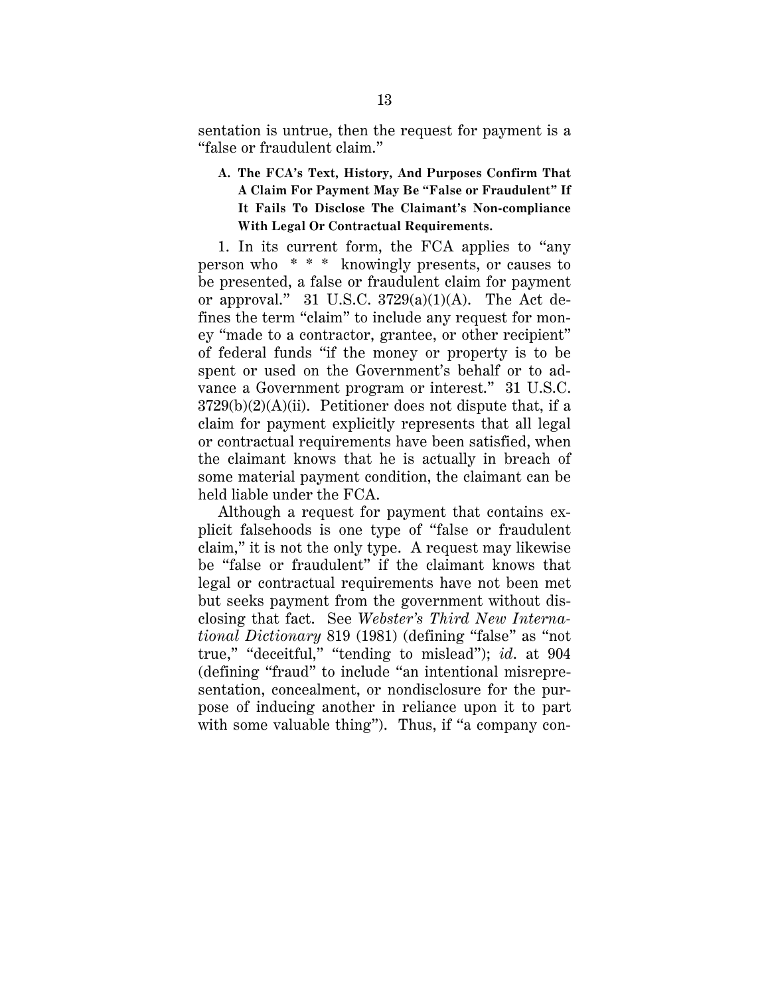sentation is untrue, then the request for payment is a "false or fraudulent claim."

**A. The FCA's Text, History, And Purposes Confirm That A Claim For Payment May Be "False or Fraudulent" If It Fails To Disclose The Claimant's Non-compliance With Legal Or Contractual Requirements.**

1. In its current form, the FCA applies to "any person who \* \* \* knowingly presents, or causes to be presented, a false or fraudulent claim for payment or approval." 31 U.S.C.  $3729(a)(1)(A)$ . The Act defines the term "claim" to include any request for money "made to a contractor, grantee, or other recipient" of federal funds "if the money or property is to be spent or used on the Government's behalf or to advance a Government program or interest." 31 U.S.C.  $3729(b)(2)(A)(ii)$ . Petitioner does not dispute that, if a claim for payment explicitly represents that all legal or contractual requirements have been satisfied, when the claimant knows that he is actually in breach of some material payment condition, the claimant can be held liable under the FCA.

Although a request for payment that contains explicit falsehoods is one type of "false or fraudulent claim," it is not the only type. A request may likewise be "false or fraudulent" if the claimant knows that legal or contractual requirements have not been met but seeks payment from the government without disclosing that fact. See *Webster's Third New International Dictionary* 819 (1981) (defining "false" as "not true," "deceitful," "tending to mislead"); *id*. at 904 (defining "fraud" to include "an intentional misrepresentation, concealment, or nondisclosure for the purpose of inducing another in reliance upon it to part with some valuable thing"). Thus, if "a company con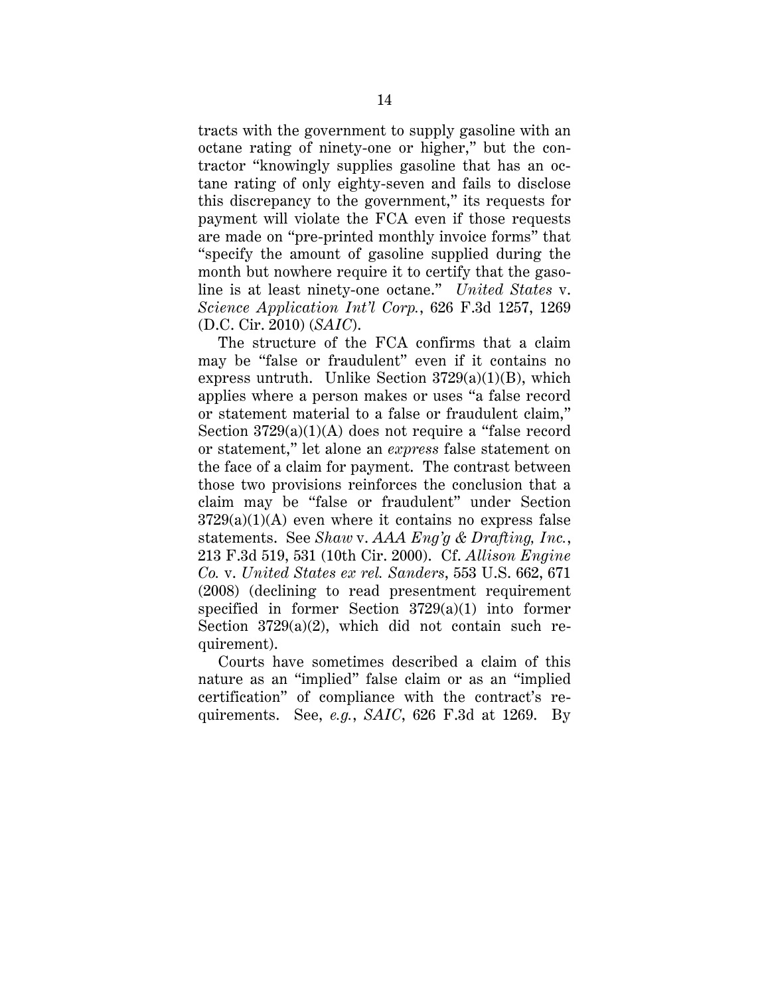tracts with the government to supply gasoline with an octane rating of ninety-one or higher," but the contractor "knowingly supplies gasoline that has an octane rating of only eighty-seven and fails to disclose this discrepancy to the government," its requests for payment will violate the FCA even if those requests are made on "pre-printed monthly invoice forms" that "specify the amount of gasoline supplied during the month but nowhere require it to certify that the gasoline is at least ninety-one octane." *United States* v. *Science Application Int'l Corp.*, 626 F.3d 1257, 1269 (D.C. Cir. 2010) (*SAIC*).

The structure of the FCA confirms that a claim may be "false or fraudulent" even if it contains no express untruth. Unlike Section  $3729(a)(1)(B)$ , which applies where a person makes or uses "a false record or statement material to a false or fraudulent claim," Section 3729(a)(1)(A) does not require a "false record or statement," let alone an *express* false statement on the face of a claim for payment. The contrast between those two provisions reinforces the conclusion that a claim may be "false or fraudulent" under Section  $3729(a)(1)(A)$  even where it contains no express false statements. See *Shaw* v. *AAA Eng'g & Drafting, Inc.*, 213 F.3d 519, 531 (10th Cir. 2000). Cf. *Allison Engine Co.* v. *United States ex rel. Sanders*, 553 U.S. 662, 671 (2008) (declining to read presentment requirement specified in former Section 3729(a)(1) into former Section  $3729(a)(2)$ , which did not contain such requirement).

Courts have sometimes described a claim of this nature as an "implied" false claim or as an "implied certification" of compliance with the contract's requirements. See, *e.g.*, *SAIC*, 626 F.3d at 1269. By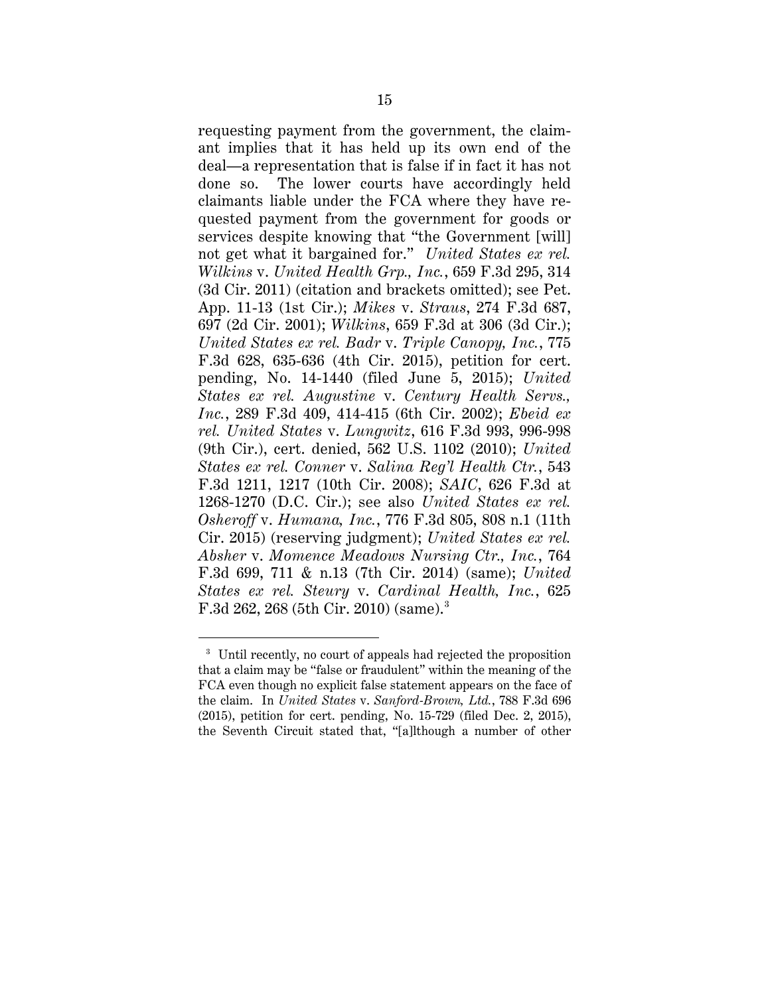requesting payment from the government, the claimant implies that it has held up its own end of the deal—a representation that is false if in fact it has not done so. The lower courts have accordingly held claimants liable under the FCA where they have requested payment from the government for goods or services despite knowing that "the Government [will] not get what it bargained for." *United States ex rel. Wilkins* v. *United Health Grp., Inc.*, 659 F.3d 295, 314 (3d Cir. 2011) (citation and brackets omitted); see Pet. App. 11-13 (1st Cir.); *Mikes* v. *Straus*, 274 F.3d 687, 697 (2d Cir. 2001); *Wilkins*, 659 F.3d at 306 (3d Cir.); *United States ex rel. Badr* v. *Triple Canopy, Inc.*, 775 F.3d 628, 635-636 (4th Cir. 2015), petition for cert. pending, No. 14-1440 (filed June 5, 2015); *United States ex rel. Augustine* v. *Century Health Servs., Inc.*, 289 F.3d 409, 414-415 (6th Cir. 2002); *Ebeid ex rel. United States* v. *Lungwitz*, 616 F.3d 993, 996-998 (9th Cir.), cert. denied, 562 U.S. 1102 (2010); *United States ex rel. Conner* v. *Salina Reg'l Health Ctr.*, 543 F.3d 1211, 1217 (10th Cir. 2008); *SAIC*, 626 F.3d at 1268-1270 (D.C. Cir.); see also *United States ex rel. Osheroff* v. *Humana, Inc.*, 776 F.3d 805, 808 n.1 (11th Cir. 2015) (reserving judgment); *United States ex rel. Absher* v. *Momence Meadows Nursing Ctr., Inc.*, 764 F.3d 699, 711 & n.13 (7th Cir. 2014) (same); *United States ex rel. Steury* v. *Cardinal Health, Inc.*, 625 F.3d 262, 268 (5th Cir. 2010) (same).<sup>3</sup>

 <sup>3</sup> Until recently, no court of appeals had rejected the proposition that a claim may be "false or fraudulent" within the meaning of the FCA even though no explicit false statement appears on the face of the claim. In *United States* v. *Sanford-Brown, Ltd.*, 788 F.3d 696 (2015), petition for cert. pending, No. 15-729 (filed Dec. 2, 2015), the Seventh Circuit stated that, "[a]lthough a number of other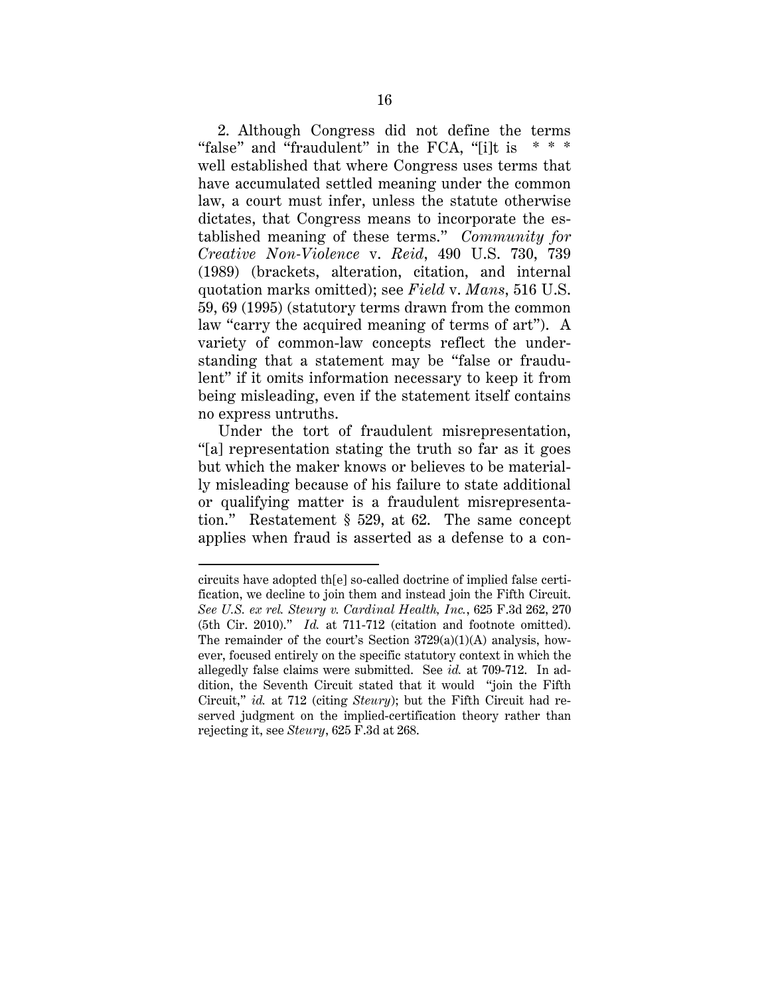2. Although Congress did not define the terms "false" and "fraudulent" in the FCA, "[i]t is  $***$ well established that where Congress uses terms that have accumulated settled meaning under the common law, a court must infer, unless the statute otherwise dictates, that Congress means to incorporate the established meaning of these terms." *Community for Creative Non-Violence* v. *Reid*, 490 U.S. 730, 739 (1989) (brackets, alteration, citation, and internal quotation marks omitted); see *Field* v. *Mans*, 516 U.S. 59, 69 (1995) (statutory terms drawn from the common law "carry the acquired meaning of terms of art"). A variety of common-law concepts reflect the understanding that a statement may be "false or fraudulent" if it omits information necessary to keep it from being misleading, even if the statement itself contains no express untruths.

Under the tort of fraudulent misrepresentation, "[a] representation stating the truth so far as it goes but which the maker knows or believes to be materially misleading because of his failure to state additional or qualifying matter is a fraudulent misrepresentation." Restatement § 529, at 62. The same concept applies when fraud is asserted as a defense to a con-

 $\overline{a}$ 

circuits have adopted th[e] so-called doctrine of implied false certification, we decline to join them and instead join the Fifth Circuit. *See U.S. ex rel. Steury v. Cardinal Health, Inc.*, 625 F.3d 262, 270 (5th Cir. 2010)." *Id.* at 711-712 (citation and footnote omitted). The remainder of the court's Section 3729(a)(1)(A) analysis, however, focused entirely on the specific statutory context in which the allegedly false claims were submitted. See *id.* at 709-712. In addition, the Seventh Circuit stated that it would "join the Fifth Circuit," *id.* at 712 (citing *Steury*); but the Fifth Circuit had reserved judgment on the implied-certification theory rather than rejecting it, see *Steury*, 625 F.3d at 268.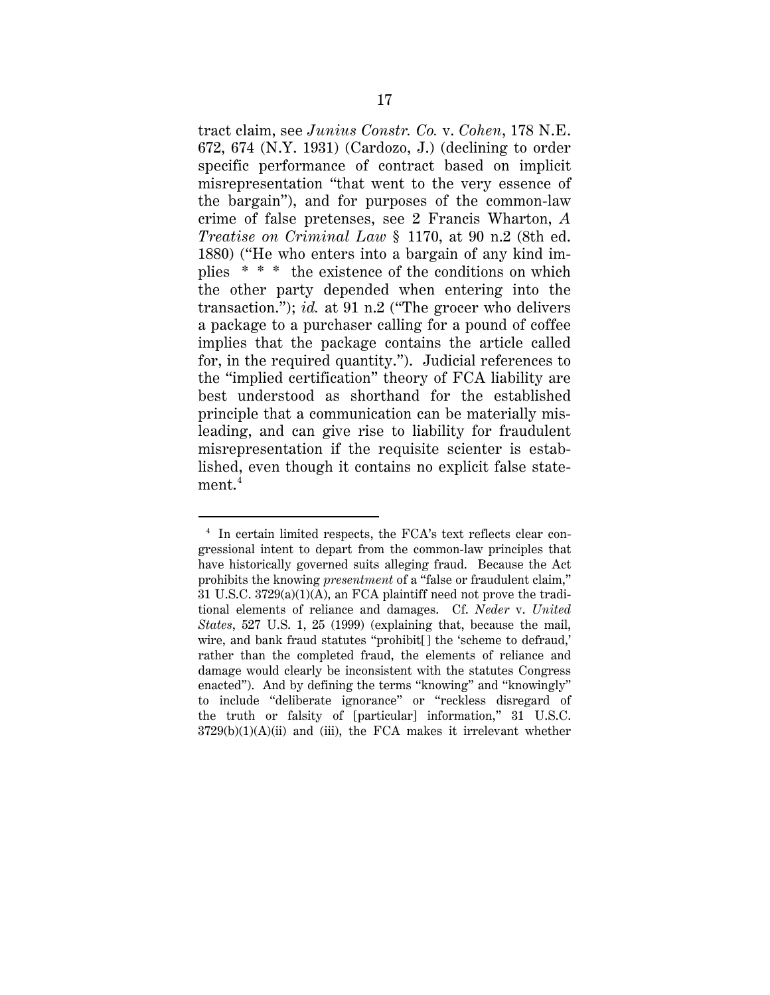tract claim, see *Junius Constr. Co.* v. *Cohen*, 178 N.E. 672, 674 (N.Y. 1931) (Cardozo, J.) (declining to order specific performance of contract based on implicit misrepresentation "that went to the very essence of the bargain"), and for purposes of the common-law crime of false pretenses, see 2 Francis Wharton, *A Treatise on Criminal Law* § 1170, at 90 n.2 (8th ed. 1880) ("He who enters into a bargain of any kind implies \* \* \* the existence of the conditions on which the other party depended when entering into the transaction."); *id.* at 91 n.2 ("The grocer who delivers a package to a purchaser calling for a pound of coffee implies that the package contains the article called for, in the required quantity."). Judicial references to the "implied certification" theory of FCA liability are best understood as shorthand for the established principle that a communication can be materially misleading, and can give rise to liability for fraudulent misrepresentation if the requisite scienter is established, even though it contains no explicit false statement.<sup>4</sup>

 <sup>4</sup> In certain limited respects, the FCA's text reflects clear congressional intent to depart from the common-law principles that have historically governed suits alleging fraud. Because the Act prohibits the knowing *presentment* of a "false or fraudulent claim," 31 U.S.C. 3729(a)(1)(A), an FCA plaintiff need not prove the traditional elements of reliance and damages. Cf. *Neder* v. *United States*, 527 U.S. 1, 25 (1999) (explaining that, because the mail, wire, and bank fraud statutes "prohibit[] the 'scheme to defraud,' rather than the completed fraud, the elements of reliance and damage would clearly be inconsistent with the statutes Congress enacted"). And by defining the terms "knowing" and "knowingly" to include "deliberate ignorance" or "reckless disregard of the truth or falsity of [particular] information," 31 U.S.C.  $3729(b)(1)(A)(ii)$  and (iii), the FCA makes it irrelevant whether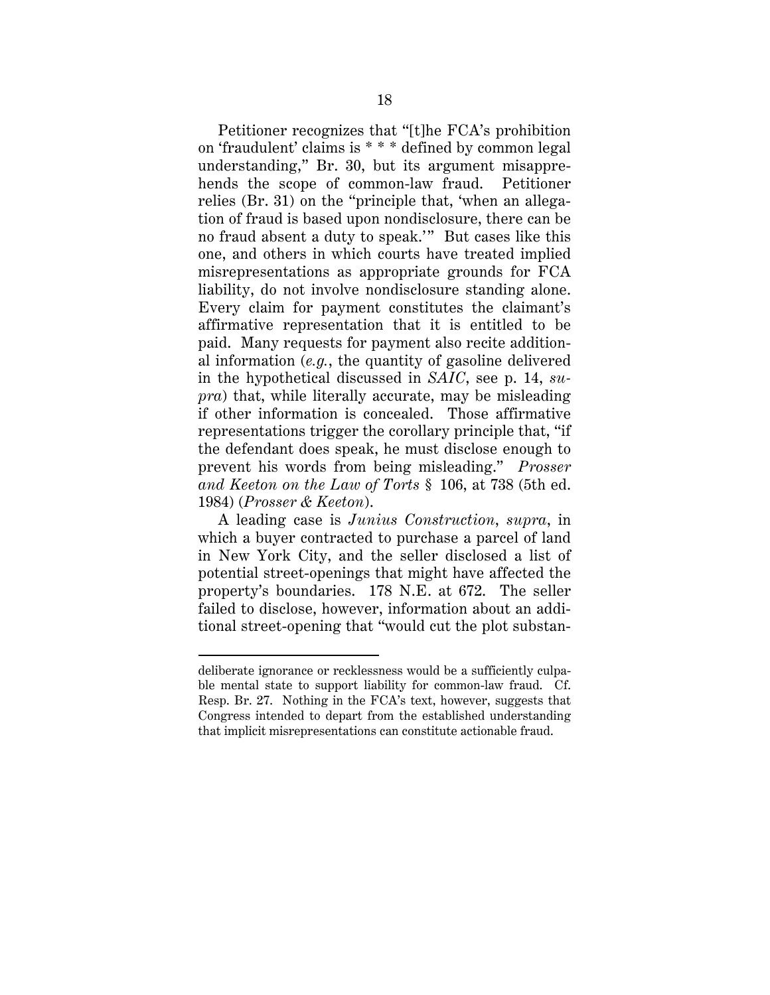Petitioner recognizes that "[t]he FCA's prohibition on 'fraudulent' claims is \* \* \* defined by common legal understanding," Br. 30, but its argument misapprehends the scope of common-law fraud. Petitioner relies (Br. 31) on the "principle that, 'when an allegation of fraud is based upon nondisclosure, there can be no fraud absent a duty to speak.'" But cases like this one, and others in which courts have treated implied misrepresentations as appropriate grounds for FCA liability, do not involve nondisclosure standing alone. Every claim for payment constitutes the claimant's affirmative representation that it is entitled to be paid. Many requests for payment also recite additional information (*e.g.*, the quantity of gasoline delivered in the hypothetical discussed in *SAIC*, see p. 14, *supra*) that, while literally accurate, may be misleading if other information is concealed. Those affirmative representations trigger the corollary principle that, "if the defendant does speak, he must disclose enough to prevent his words from being misleading." *Prosser and Keeton on the Law of Torts* § 106, at 738 (5th ed. 1984) (*Prosser & Keeton*).

A leading case is *Junius Construction*, *supra*, in which a buyer contracted to purchase a parcel of land in New York City, and the seller disclosed a list of potential street-openings that might have affected the property's boundaries. 178 N.E. at 672. The seller failed to disclose, however, information about an additional street-opening that "would cut the plot substan-

 $\overline{a}$ 

deliberate ignorance or recklessness would be a sufficiently culpable mental state to support liability for common-law fraud. Cf. Resp. Br. 27. Nothing in the FCA's text, however, suggests that Congress intended to depart from the established understanding that implicit misrepresentations can constitute actionable fraud.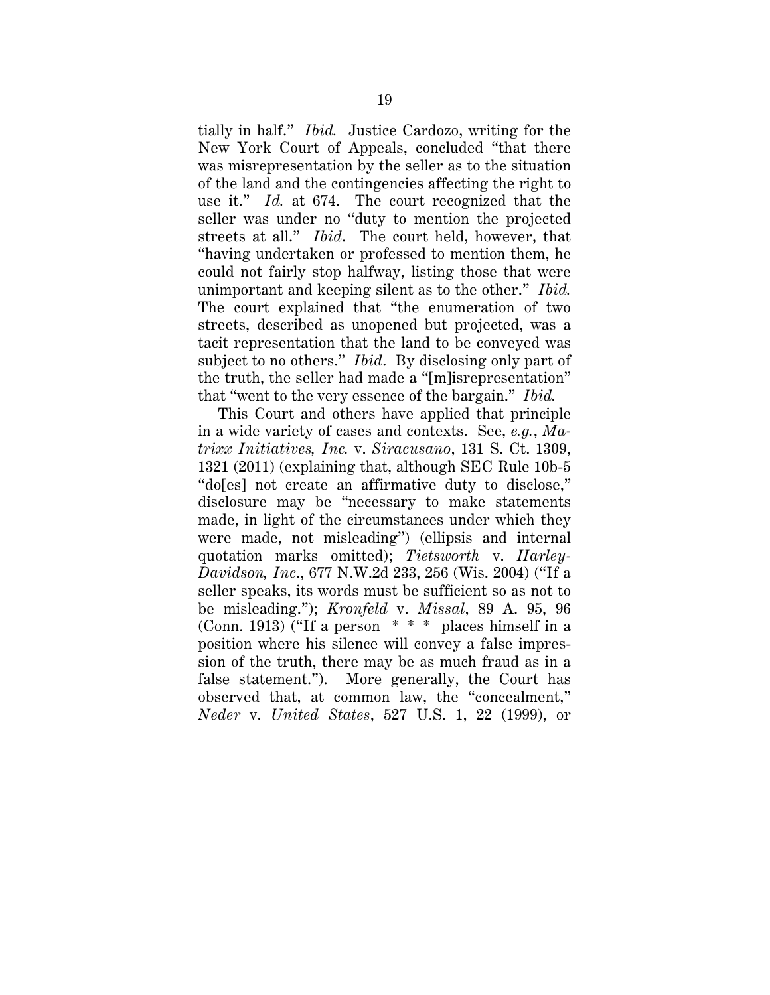tially in half." *Ibid.* Justice Cardozo, writing for the New York Court of Appeals, concluded "that there was misrepresentation by the seller as to the situation of the land and the contingencies affecting the right to use it." *Id.* at 674. The court recognized that the seller was under no "duty to mention the projected streets at all." *Ibid*. The court held, however, that "having undertaken or professed to mention them, he could not fairly stop halfway, listing those that were unimportant and keeping silent as to the other." *Ibid.* The court explained that "the enumeration of two streets, described as unopened but projected, was a tacit representation that the land to be conveyed was subject to no others." *Ibid*. By disclosing only part of the truth, the seller had made a "[m]isrepresentation" that "went to the very essence of the bargain." *Ibid.*

This Court and others have applied that principle in a wide variety of cases and contexts. See, *e.g.*, *Matrixx Initiatives, Inc.* v. *Siracusano*, 131 S. Ct. 1309, 1321 (2011) (explaining that, although SEC Rule 10b-5 "do[es] not create an affirmative duty to disclose," disclosure may be "necessary to make statements made, in light of the circumstances under which they were made, not misleading") (ellipsis and internal quotation marks omitted); *Tietsworth* v. *Harley-Davidson, Inc*., 677 N.W.2d 233, 256 (Wis. 2004) ("If a seller speaks, its words must be sufficient so as not to be misleading."); *Kronfeld* v. *Missal*, 89 A. 95, 96 (Conn. 1913) ("If a person \* \* \* places himself in a position where his silence will convey a false impression of the truth, there may be as much fraud as in a false statement."). More generally, the Court has observed that, at common law, the "concealment," *Neder* v. *United States*, 527 U.S. 1, 22 (1999), or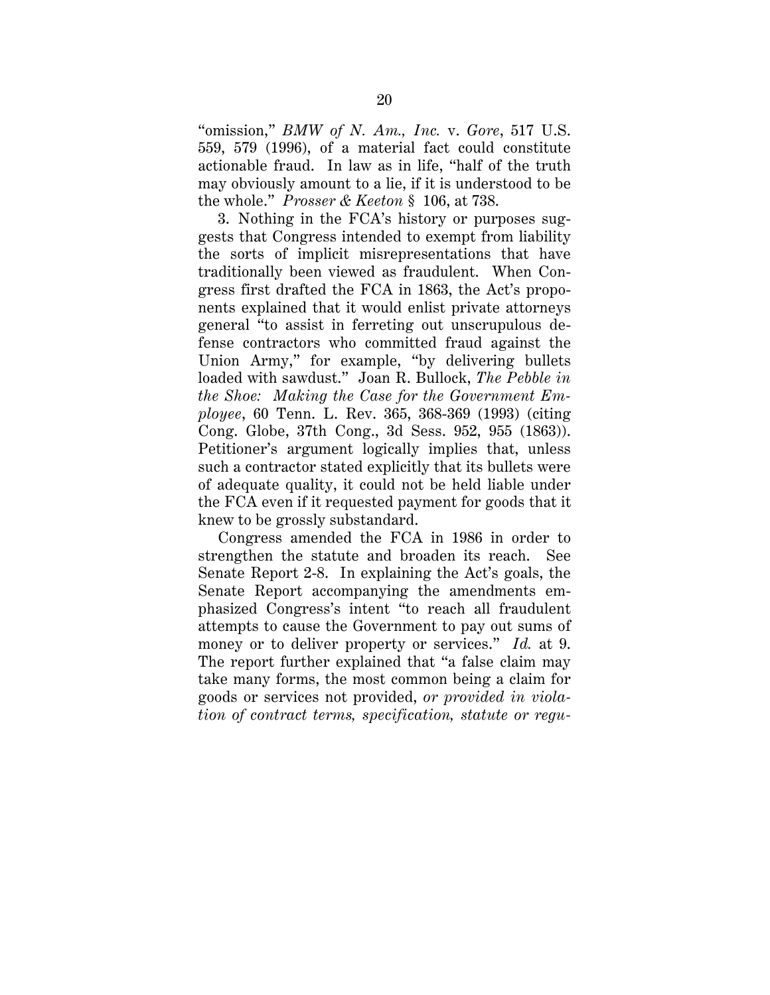"omission," *BMW of N. Am., Inc.* v. *Gore*, 517 U.S. 559, 579 (1996), of a material fact could constitute actionable fraud. In law as in life, "half of the truth may obviously amount to a lie, if it is understood to be the whole." *Prosser & Keeton* § 106, at 738.

3. Nothing in the FCA's history or purposes suggests that Congress intended to exempt from liability the sorts of implicit misrepresentations that have traditionally been viewed as fraudulent. When Congress first drafted the FCA in 1863, the Act's proponents explained that it would enlist private attorneys general "to assist in ferreting out unscrupulous defense contractors who committed fraud against the Union Army," for example, "by delivering bullets loaded with sawdust." Joan R. Bullock, *The Pebble in the Shoe: Making the Case for the Government Employee*, 60 Tenn. L. Rev. 365, 368-369 (1993) (citing Cong. Globe, 37th Cong., 3d Sess. 952, 955 (1863)). Petitioner's argument logically implies that, unless such a contractor stated explicitly that its bullets were of adequate quality, it could not be held liable under the FCA even if it requested payment for goods that it knew to be grossly substandard.

Congress amended the FCA in 1986 in order to strengthen the statute and broaden its reach. See Senate Report 2-8. In explaining the Act's goals, the Senate Report accompanying the amendments emphasized Congress's intent "to reach all fraudulent attempts to cause the Government to pay out sums of money or to deliver property or services." *Id.* at 9. The report further explained that "a false claim may take many forms, the most common being a claim for goods or services not provided, *or provided in violation of contract terms, specification, statute or regu-*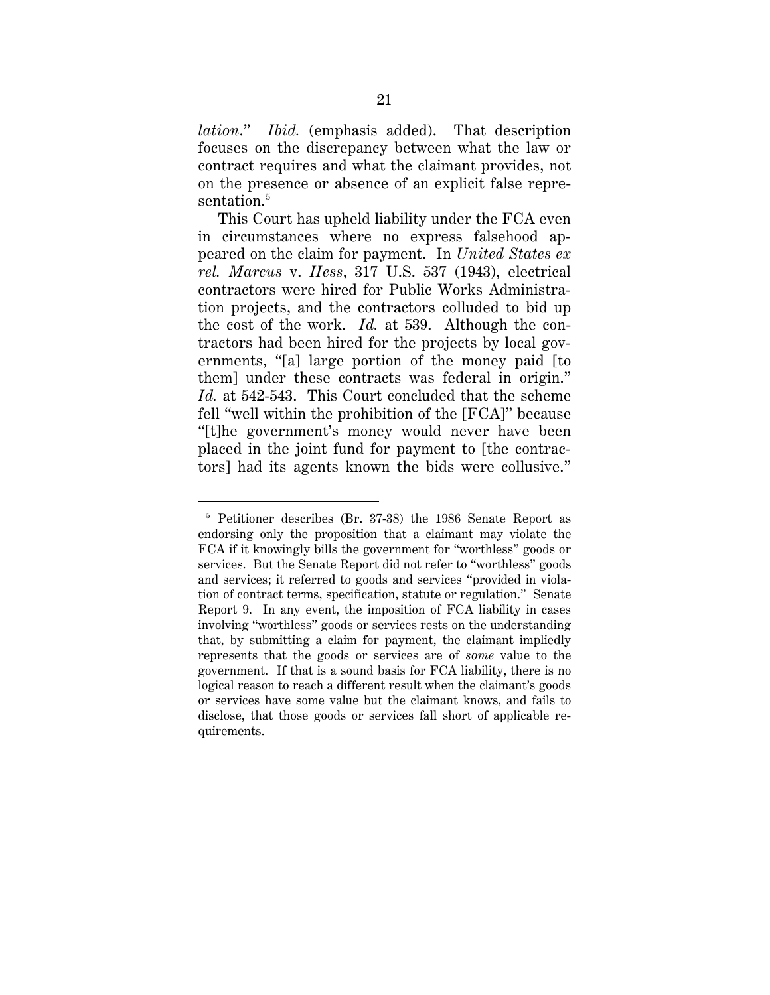*lation*." *Ibid.* (emphasis added). That description focuses on the discrepancy between what the law or contract requires and what the claimant provides, not on the presence or absence of an explicit false representation. 5

This Court has upheld liability under the FCA even in circumstances where no express falsehood appeared on the claim for payment. In *United States ex rel. Marcus* v. *Hess*, 317 U.S. 537 (1943), electrical contractors were hired for Public Works Administration projects, and the contractors colluded to bid up the cost of the work. *Id.* at 539. Although the contractors had been hired for the projects by local governments, "[a] large portion of the money paid [to them] under these contracts was federal in origin." *Id.* at 542-543. This Court concluded that the scheme fell "well within the prohibition of the [FCA]" because "[t]he government's money would never have been placed in the joint fund for payment to [the contractors] had its agents known the bids were collusive."

 <sup>5</sup> Petitioner describes (Br. 37-38) the 1986 Senate Report as endorsing only the proposition that a claimant may violate the FCA if it knowingly bills the government for "worthless" goods or services. But the Senate Report did not refer to "worthless" goods and services; it referred to goods and services "provided in violation of contract terms, specification, statute or regulation." Senate Report 9. In any event, the imposition of FCA liability in cases involving "worthless" goods or services rests on the understanding that, by submitting a claim for payment, the claimant impliedly represents that the goods or services are of *some* value to the government. If that is a sound basis for FCA liability, there is no logical reason to reach a different result when the claimant's goods or services have some value but the claimant knows, and fails to disclose, that those goods or services fall short of applicable requirements.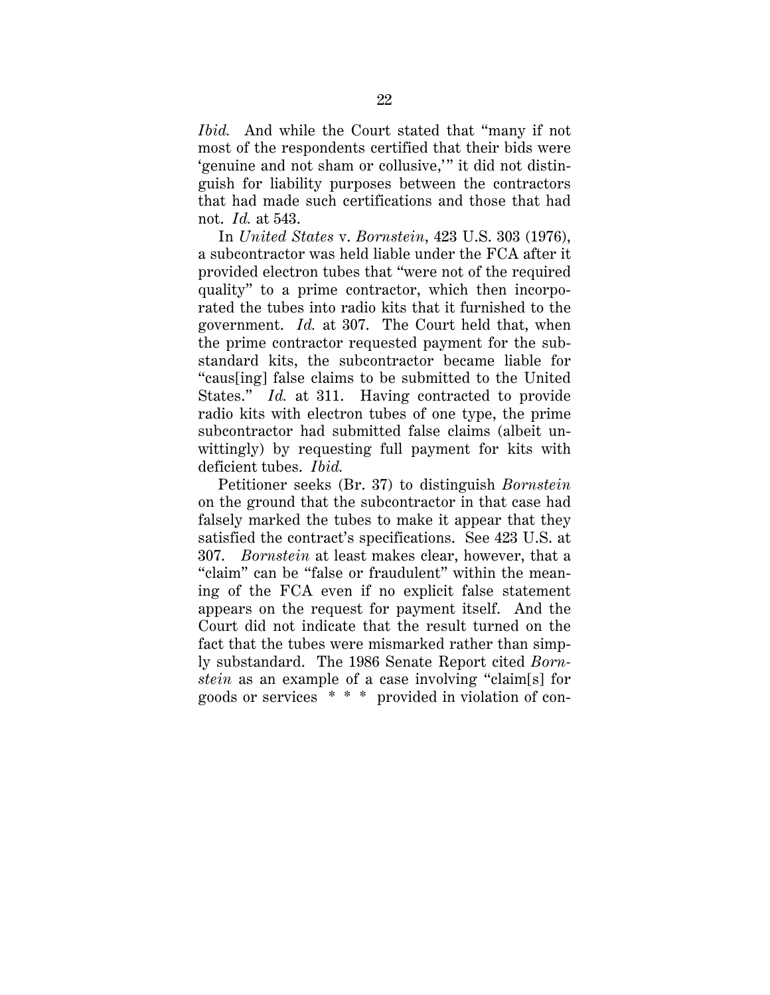*Ibid.* And while the Court stated that "many if not most of the respondents certified that their bids were 'genuine and not sham or collusive,'" it did not distinguish for liability purposes between the contractors that had made such certifications and those that had not. *Id.* at 543.

In *United States* v. *Bornstein*, 423 U.S. 303 (1976), a subcontractor was held liable under the FCA after it provided electron tubes that "were not of the required quality" to a prime contractor, which then incorporated the tubes into radio kits that it furnished to the government. *Id.* at 307. The Court held that, when the prime contractor requested payment for the substandard kits, the subcontractor became liable for "caus[ing] false claims to be submitted to the United States." *Id.* at 311. Having contracted to provide radio kits with electron tubes of one type, the prime subcontractor had submitted false claims (albeit unwittingly) by requesting full payment for kits with deficient tubes. *Ibid.*

Petitioner seeks (Br. 37) to distinguish *Bornstein* on the ground that the subcontractor in that case had falsely marked the tubes to make it appear that they satisfied the contract's specifications. See 423 U.S. at 307. *Bornstein* at least makes clear, however, that a "claim" can be "false or fraudulent" within the meaning of the FCA even if no explicit false statement appears on the request for payment itself. And the Court did not indicate that the result turned on the fact that the tubes were mismarked rather than simply substandard. The 1986 Senate Report cited *Bornstein* as an example of a case involving "claim[s] for goods or services \* \* \* provided in violation of con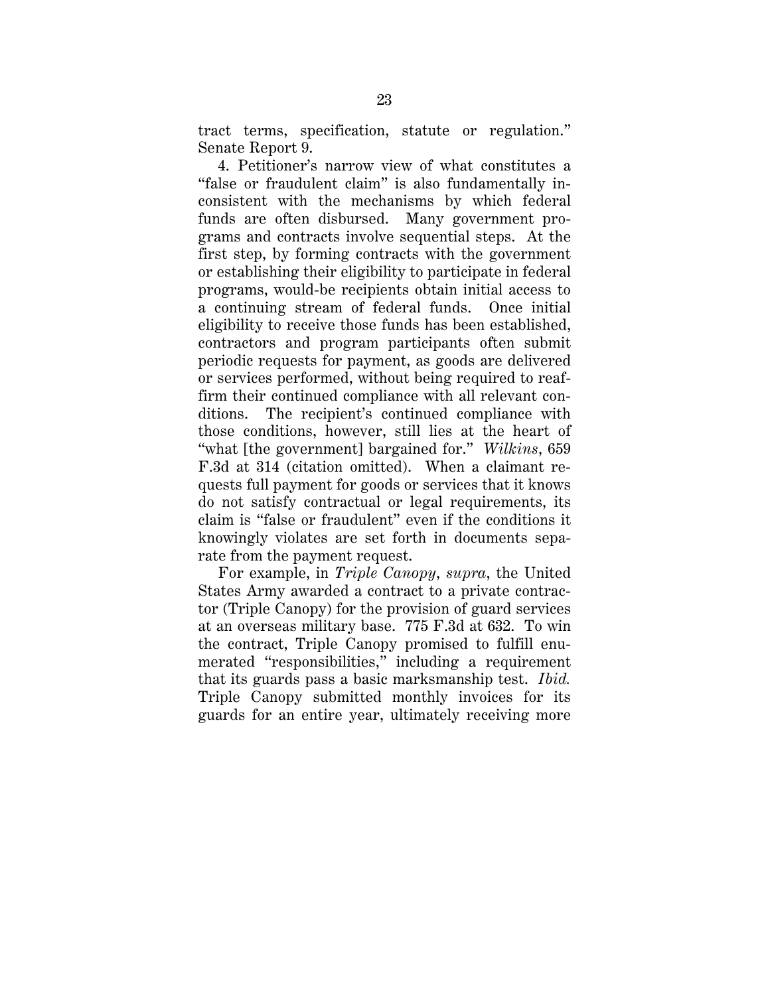tract terms, specification, statute or regulation." Senate Report 9.

4. Petitioner's narrow view of what constitutes a "false or fraudulent claim" is also fundamentally inconsistent with the mechanisms by which federal funds are often disbursed. Many government programs and contracts involve sequential steps. At the first step, by forming contracts with the government or establishing their eligibility to participate in federal programs, would-be recipients obtain initial access to a continuing stream of federal funds. Once initial eligibility to receive those funds has been established, contractors and program participants often submit periodic requests for payment, as goods are delivered or services performed, without being required to reaffirm their continued compliance with all relevant conditions. The recipient's continued compliance with those conditions, however, still lies at the heart of "what [the government] bargained for." *Wilkins*, 659 F.3d at 314 (citation omitted). When a claimant requests full payment for goods or services that it knows do not satisfy contractual or legal requirements, its claim is "false or fraudulent" even if the conditions it knowingly violates are set forth in documents separate from the payment request.

For example, in *Triple Canopy*, *supra*, the United States Army awarded a contract to a private contractor (Triple Canopy) for the provision of guard services at an overseas military base. 775 F.3d at 632. To win the contract, Triple Canopy promised to fulfill enumerated "responsibilities," including a requirement that its guards pass a basic marksmanship test. *Ibid.* Triple Canopy submitted monthly invoices for its guards for an entire year, ultimately receiving more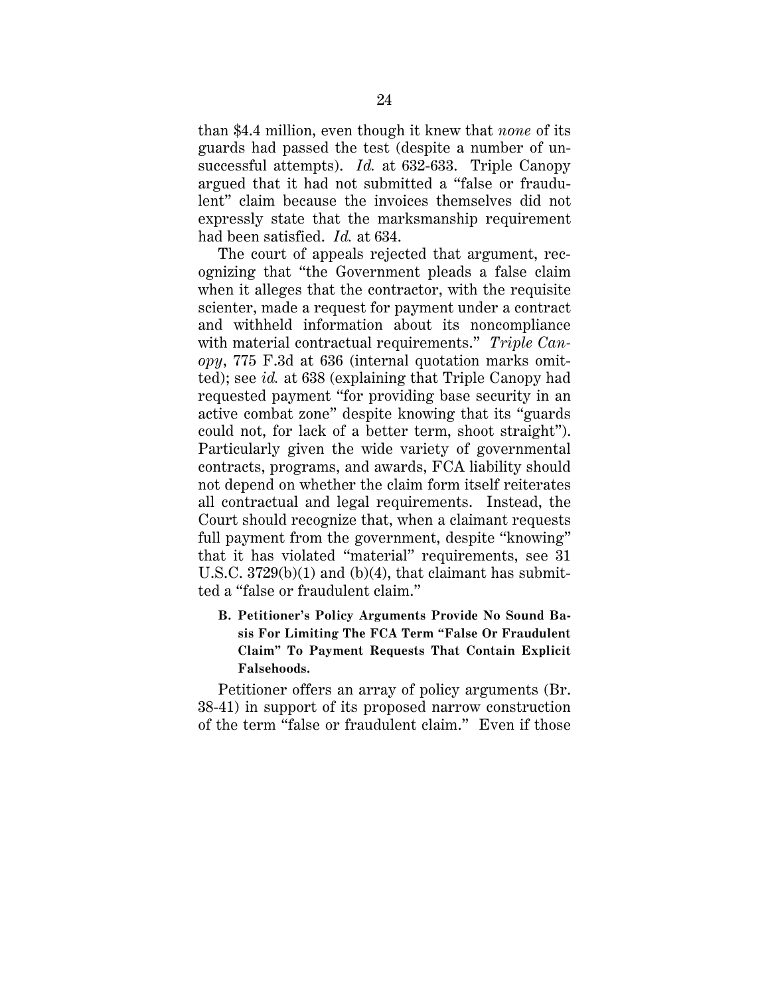than \$4.4 million, even though it knew that *none* of its guards had passed the test (despite a number of unsuccessful attempts). *Id.* at 632-633. Triple Canopy argued that it had not submitted a "false or fraudulent" claim because the invoices themselves did not expressly state that the marksmanship requirement had been satisfied. *Id.* at 634.

The court of appeals rejected that argument, recognizing that "the Government pleads a false claim when it alleges that the contractor, with the requisite scienter, made a request for payment under a contract and withheld information about its noncompliance with material contractual requirements." *Triple Canopy*, 775 F.3d at 636 (internal quotation marks omitted); see *id.* at 638 (explaining that Triple Canopy had requested payment "for providing base security in an active combat zone" despite knowing that its "guards could not, for lack of a better term, shoot straight"). Particularly given the wide variety of governmental contracts, programs, and awards, FCA liability should not depend on whether the claim form itself reiterates all contractual and legal requirements. Instead, the Court should recognize that, when a claimant requests full payment from the government, despite "knowing" that it has violated "material" requirements, see 31 U.S.C.  $3729(b)(1)$  and  $(b)(4)$ , that claimant has submitted a "false or fraudulent claim."

**B. Petitioner's Policy Arguments Provide No Sound Basis For Limiting The FCA Term "False Or Fraudulent Claim" To Payment Requests That Contain Explicit Falsehoods.** 

Petitioner offers an array of policy arguments (Br. 38-41) in support of its proposed narrow construction of the term "false or fraudulent claim." Even if those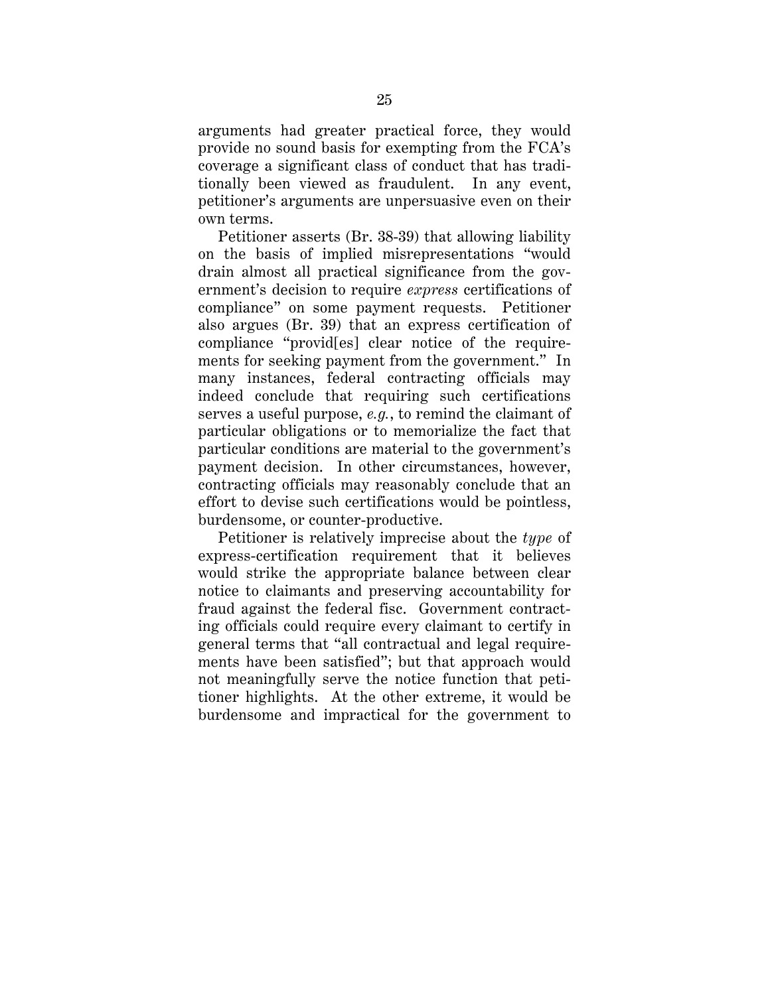arguments had greater practical force, they would provide no sound basis for exempting from the FCA's coverage a significant class of conduct that has traditionally been viewed as fraudulent. In any event, petitioner's arguments are unpersuasive even on their own terms.

Petitioner asserts (Br. 38-39) that allowing liability on the basis of implied misrepresentations "would drain almost all practical significance from the government's decision to require *express* certifications of compliance" on some payment requests. Petitioner also argues (Br. 39) that an express certification of compliance "provid[es] clear notice of the requirements for seeking payment from the government." In many instances, federal contracting officials may indeed conclude that requiring such certifications serves a useful purpose, *e.g.*, to remind the claimant of particular obligations or to memorialize the fact that particular conditions are material to the government's payment decision. In other circumstances, however, contracting officials may reasonably conclude that an effort to devise such certifications would be pointless, burdensome, or counter-productive.

Petitioner is relatively imprecise about the *type* of express-certification requirement that it believes would strike the appropriate balance between clear notice to claimants and preserving accountability for fraud against the federal fisc. Government contracting officials could require every claimant to certify in general terms that "all contractual and legal requirements have been satisfied"; but that approach would not meaningfully serve the notice function that petitioner highlights. At the other extreme, it would be burdensome and impractical for the government to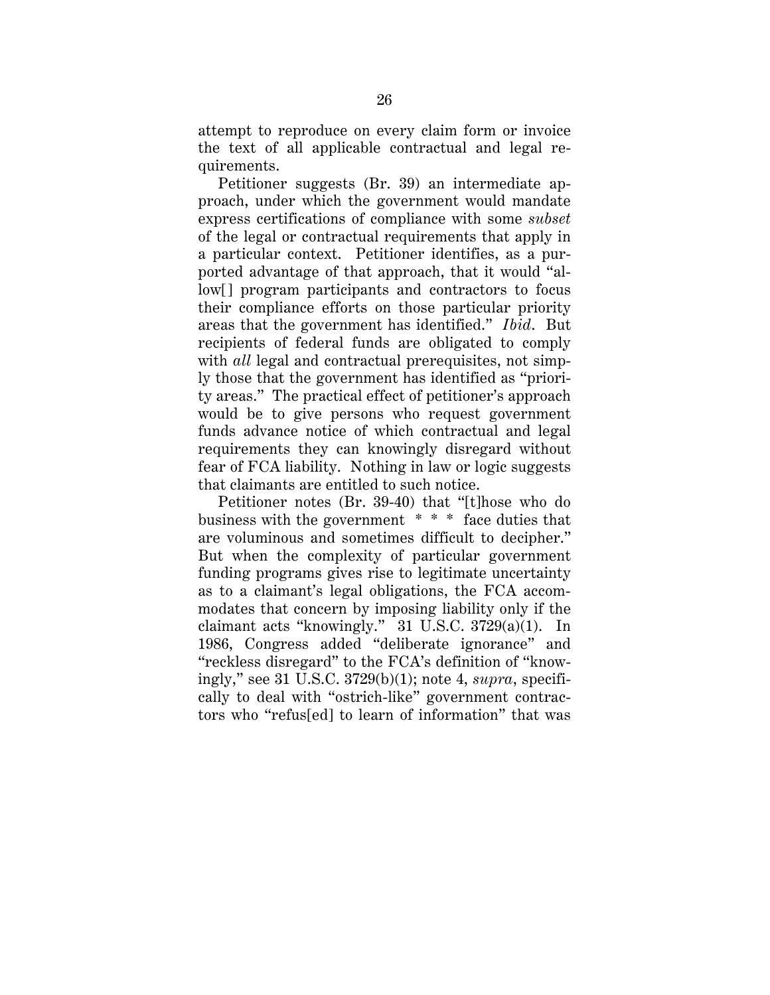attempt to reproduce on every claim form or invoice the text of all applicable contractual and legal requirements.

Petitioner suggests (Br. 39) an intermediate approach, under which the government would mandate express certifications of compliance with some *subset* of the legal or contractual requirements that apply in a particular context. Petitioner identifies, as a purported advantage of that approach, that it would "allow[] program participants and contractors to focus their compliance efforts on those particular priority areas that the government has identified." *Ibid*. But recipients of federal funds are obligated to comply with *all* legal and contractual prerequisites, not simply those that the government has identified as "priority areas." The practical effect of petitioner's approach would be to give persons who request government funds advance notice of which contractual and legal requirements they can knowingly disregard without fear of FCA liability. Nothing in law or logic suggests that claimants are entitled to such notice.

Petitioner notes (Br. 39-40) that "[t]hose who do business with the government \* \* \* face duties that are voluminous and sometimes difficult to decipher." But when the complexity of particular government funding programs gives rise to legitimate uncertainty as to a claimant's legal obligations, the FCA accommodates that concern by imposing liability only if the claimant acts "knowingly." 31 U.S.C. 3729(a)(1). In 1986, Congress added "deliberate ignorance" and "reckless disregard" to the FCA's definition of "knowingly," see 31 U.S.C. 3729(b)(1); note 4, *supra*, specifically to deal with "ostrich-like" government contractors who "refus[ed] to learn of information" that was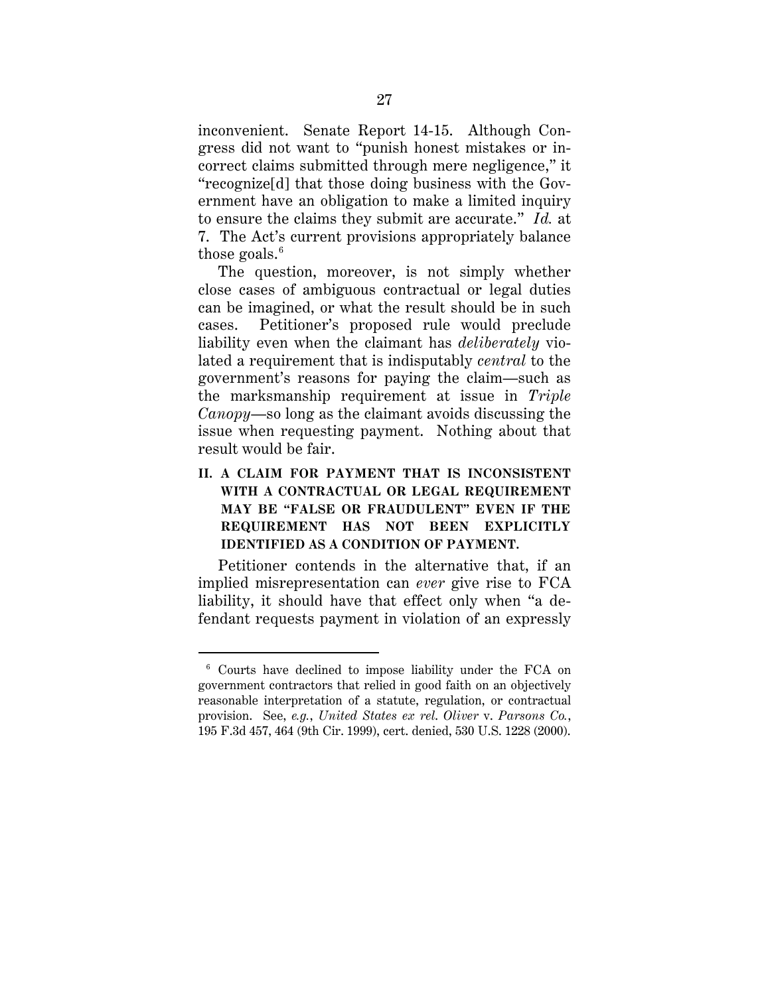inconvenient. Senate Report 14-15. Although Congress did not want to "punish honest mistakes or incorrect claims submitted through mere negligence," it "recognize[d] that those doing business with the Government have an obligation to make a limited inquiry to ensure the claims they submit are accurate." *Id.* at 7. The Act's current provisions appropriately balance those goals.<sup>6</sup>

The question, moreover, is not simply whether close cases of ambiguous contractual or legal duties can be imagined, or what the result should be in such cases. Petitioner's proposed rule would preclude liability even when the claimant has *deliberately* violated a requirement that is indisputably *central* to the government's reasons for paying the claim—such as the marksmanship requirement at issue in *Triple Canopy*—so long as the claimant avoids discussing the issue when requesting payment. Nothing about that result would be fair.

**II. A CLAIM FOR PAYMENT THAT IS INCONSISTENT WITH A CONTRACTUAL OR LEGAL REQUIREMENT MAY BE "FALSE OR FRAUDULENT" EVEN IF THE REQUIREMENT HAS NOT BEEN EXPLICITLY IDENTIFIED AS A CONDITION OF PAYMENT.** 

Petitioner contends in the alternative that, if an implied misrepresentation can *ever* give rise to FCA liability, it should have that effect only when "a defendant requests payment in violation of an expressly

 <sup>6</sup> Courts have declined to impose liability under the FCA on government contractors that relied in good faith on an objectively reasonable interpretation of a statute, regulation, or contractual provision. See, *e.g.*, *United States ex rel*. *Oliver* v. *Parsons Co.*, 195 F.3d 457, 464 (9th Cir. 1999), cert. denied, 530 U.S. 1228 (2000).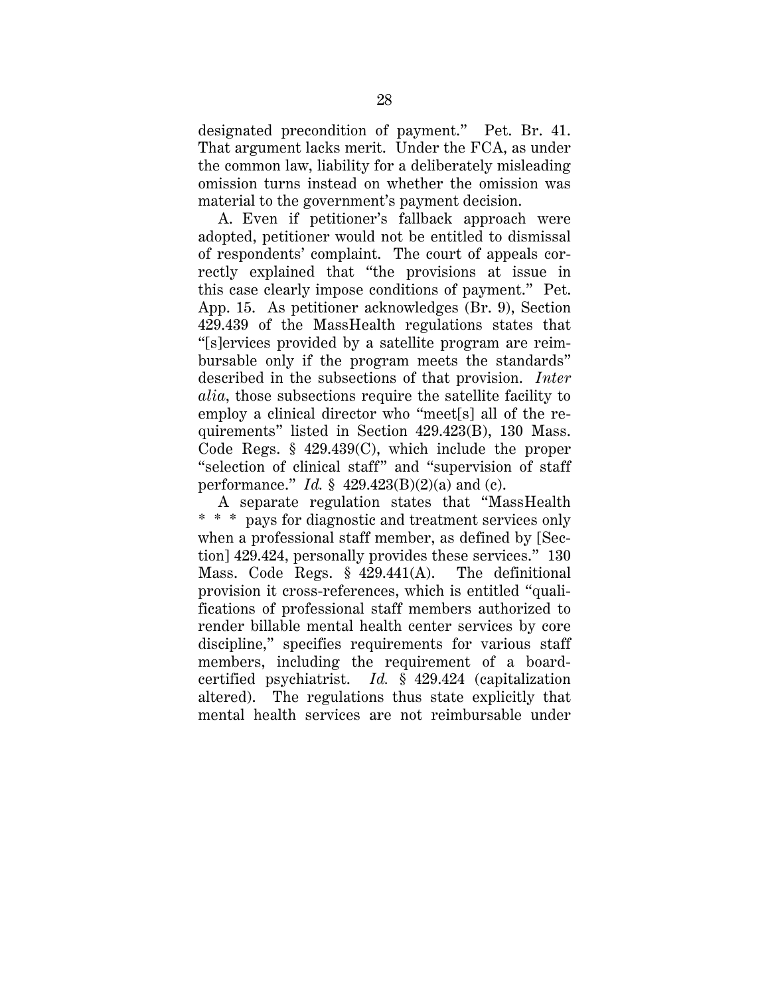designated precondition of payment." Pet. Br. 41. That argument lacks merit. Under the FCA, as under the common law, liability for a deliberately misleading omission turns instead on whether the omission was material to the government's payment decision.

A. Even if petitioner's fallback approach were adopted, petitioner would not be entitled to dismissal of respondents' complaint. The court of appeals correctly explained that "the provisions at issue in this case clearly impose conditions of payment." Pet. App. 15. As petitioner acknowledges (Br. 9), Section 429.439 of the MassHealth regulations states that "[s]ervices provided by a satellite program are reimbursable only if the program meets the standards" described in the subsections of that provision. *Inter alia*, those subsections require the satellite facility to employ a clinical director who "meet[s] all of the requirements" listed in Section 429.423(B), 130 Mass. Code Regs. § 429.439(C), which include the proper "selection of clinical staff" and "supervision of staff performance." *Id.* § 429.423(B)(2)(a) and (c).

A separate regulation states that "MassHealth \* \* \* pays for diagnostic and treatment services only when a professional staff member, as defined by [Section] 429.424, personally provides these services." 130 Mass. Code Regs. § 429.441(A). The definitional provision it cross-references, which is entitled "qualifications of professional staff members authorized to render billable mental health center services by core discipline," specifies requirements for various staff members, including the requirement of a boardcertified psychiatrist. *Id.* § 429.424 (capitalization altered). The regulations thus state explicitly that mental health services are not reimbursable under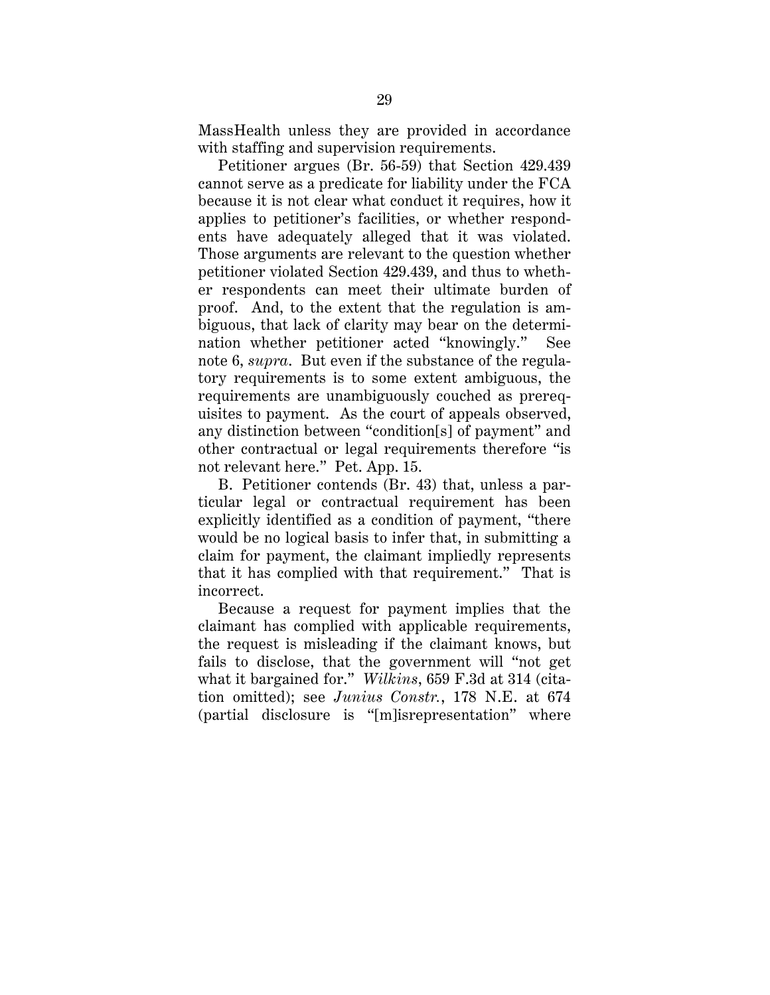MassHealth unless they are provided in accordance with staffing and supervision requirements.

Petitioner argues (Br. 56-59) that Section 429.439 cannot serve as a predicate for liability under the FCA because it is not clear what conduct it requires, how it applies to petitioner's facilities, or whether respondents have adequately alleged that it was violated. Those arguments are relevant to the question whether petitioner violated Section 429.439, and thus to whether respondents can meet their ultimate burden of proof. And, to the extent that the regulation is ambiguous, that lack of clarity may bear on the determination whether petitioner acted "knowingly." See note 6, *supra*. But even if the substance of the regulatory requirements is to some extent ambiguous, the requirements are unambiguously couched as prerequisites to payment. As the court of appeals observed, any distinction between "condition[s] of payment" and other contractual or legal requirements therefore "is not relevant here." Pet. App. 15.

B. Petitioner contends (Br. 43) that, unless a particular legal or contractual requirement has been explicitly identified as a condition of payment, "there would be no logical basis to infer that, in submitting a claim for payment, the claimant impliedly represents that it has complied with that requirement." That is incorrect.

Because a request for payment implies that the claimant has complied with applicable requirements, the request is misleading if the claimant knows, but fails to disclose, that the government will "not get what it bargained for." *Wilkins*, 659 F.3d at 314 (citation omitted); see *Junius Constr.*, 178 N.E. at 674 (partial disclosure is "[m]isrepresentation" where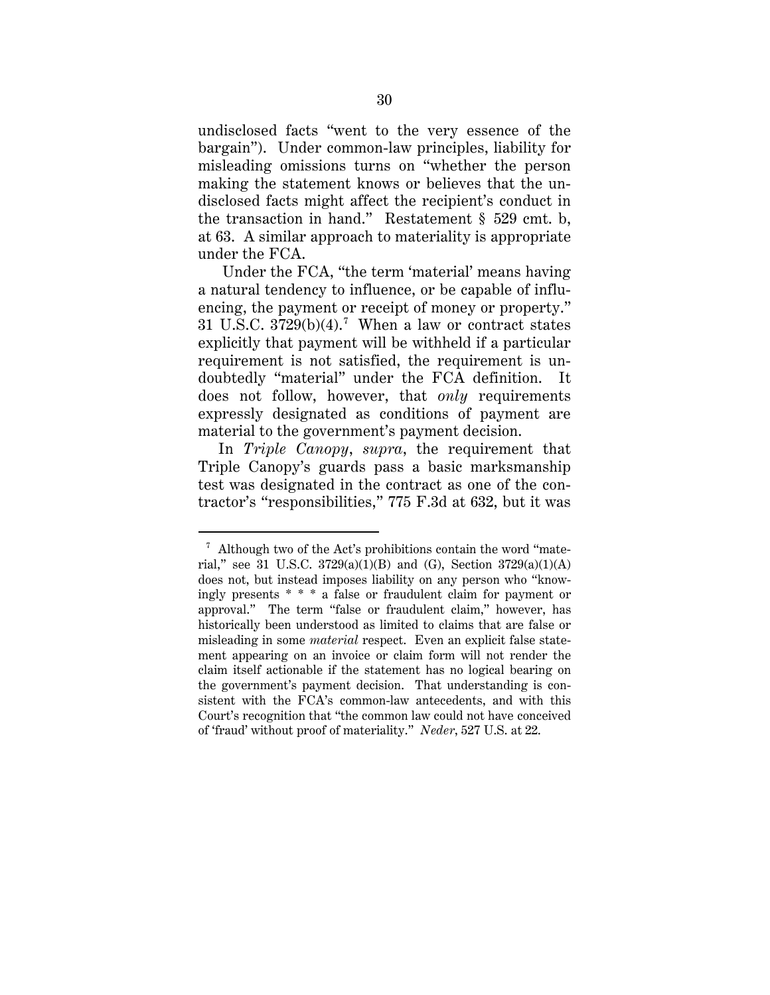undisclosed facts "went to the very essence of the bargain"). Under common-law principles, liability for misleading omissions turns on "whether the person making the statement knows or believes that the undisclosed facts might affect the recipient's conduct in the transaction in hand." Restatement § 529 cmt. b, at 63. A similar approach to materiality is appropriate under the FCA.

Under the FCA, "the term 'material' means having a natural tendency to influence, or be capable of influencing, the payment or receipt of money or property." 31 U.S.C.  $3729(b)(4)$ .<sup>7</sup> When a law or contract states explicitly that payment will be withheld if a particular requirement is not satisfied, the requirement is undoubtedly "material" under the FCA definition. It does not follow, however, that *only* requirements expressly designated as conditions of payment are material to the government's payment decision.

In *Triple Canopy*, *supra*, the requirement that Triple Canopy's guards pass a basic marksmanship test was designated in the contract as one of the contractor's "responsibilities," 775 F.3d at 632, but it was

 $\frac{7}{1}$  Although two of the Act's prohibitions contain the word "material," see 31 U.S.C.  $3729(a)(1)(B)$  and (G), Section  $3729(a)(1)(A)$ does not, but instead imposes liability on any person who "knowingly presents \* \* \* a false or fraudulent claim for payment or approval." The term "false or fraudulent claim," however, has historically been understood as limited to claims that are false or misleading in some *material* respect. Even an explicit false statement appearing on an invoice or claim form will not render the claim itself actionable if the statement has no logical bearing on the government's payment decision. That understanding is consistent with the FCA's common-law antecedents, and with this Court's recognition that "the common law could not have conceived of 'fraud' without proof of materiality." *Neder*, 527 U.S. at 22.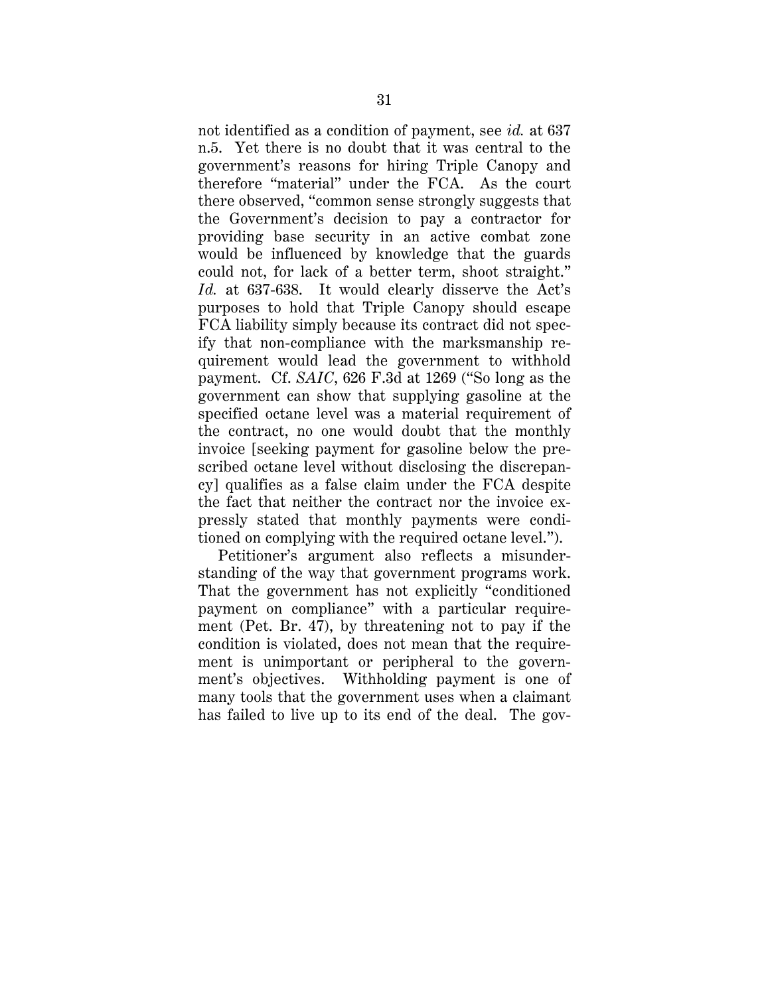not identified as a condition of payment, see *id.* at 637 n.5. Yet there is no doubt that it was central to the government's reasons for hiring Triple Canopy and therefore "material" under the FCA. As the court there observed, "common sense strongly suggests that the Government's decision to pay a contractor for providing base security in an active combat zone would be influenced by knowledge that the guards could not, for lack of a better term, shoot straight." *Id.* at 637-638. It would clearly disserve the Act's purposes to hold that Triple Canopy should escape FCA liability simply because its contract did not specify that non-compliance with the marksmanship requirement would lead the government to withhold payment. Cf. *SAIC*, 626 F.3d at 1269 ("So long as the government can show that supplying gasoline at the specified octane level was a material requirement of the contract, no one would doubt that the monthly invoice [seeking payment for gasoline below the prescribed octane level without disclosing the discrepancy] qualifies as a false claim under the FCA despite the fact that neither the contract nor the invoice expressly stated that monthly payments were conditioned on complying with the required octane level.").

Petitioner's argument also reflects a misunderstanding of the way that government programs work. That the government has not explicitly "conditioned payment on compliance" with a particular requirement (Pet. Br. 47), by threatening not to pay if the condition is violated, does not mean that the requirement is unimportant or peripheral to the government's objectives. Withholding payment is one of many tools that the government uses when a claimant has failed to live up to its end of the deal. The gov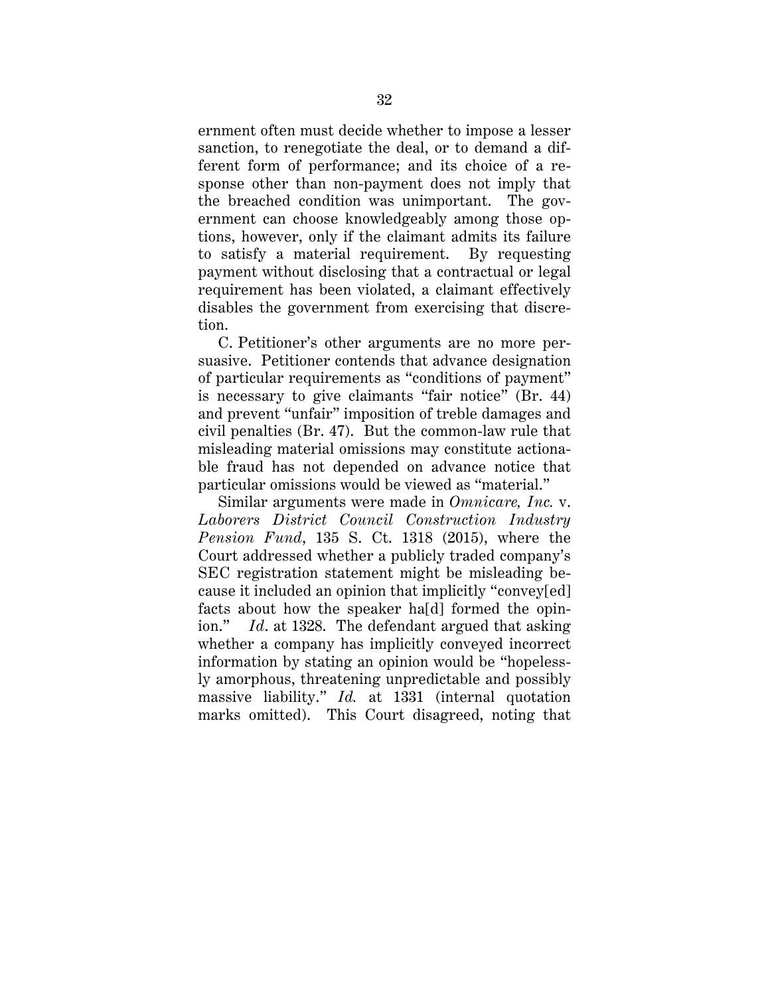ernment often must decide whether to impose a lesser sanction, to renegotiate the deal, or to demand a different form of performance; and its choice of a response other than non-payment does not imply that the breached condition was unimportant. The government can choose knowledgeably among those options, however, only if the claimant admits its failure to satisfy a material requirement. By requesting payment without disclosing that a contractual or legal requirement has been violated, a claimant effectively disables the government from exercising that discretion.

C. Petitioner's other arguments are no more persuasive. Petitioner contends that advance designation of particular requirements as "conditions of payment" is necessary to give claimants "fair notice" (Br. 44) and prevent "unfair" imposition of treble damages and civil penalties (Br. 47). But the common-law rule that misleading material omissions may constitute actionable fraud has not depended on advance notice that particular omissions would be viewed as "material."

Similar arguments were made in *Omnicare, Inc.* v. *Laborers District Council Construction Industry Pension Fund*, 135 S. Ct. 1318 (2015), where the Court addressed whether a publicly traded company's SEC registration statement might be misleading because it included an opinion that implicitly "convey[ed] facts about how the speaker ha[d] formed the opinion." *Id*. at 1328. The defendant argued that asking whether a company has implicitly conveyed incorrect information by stating an opinion would be "hopelessly amorphous, threatening unpredictable and possibly massive liability." *Id.* at 1331 (internal quotation marks omitted). This Court disagreed, noting that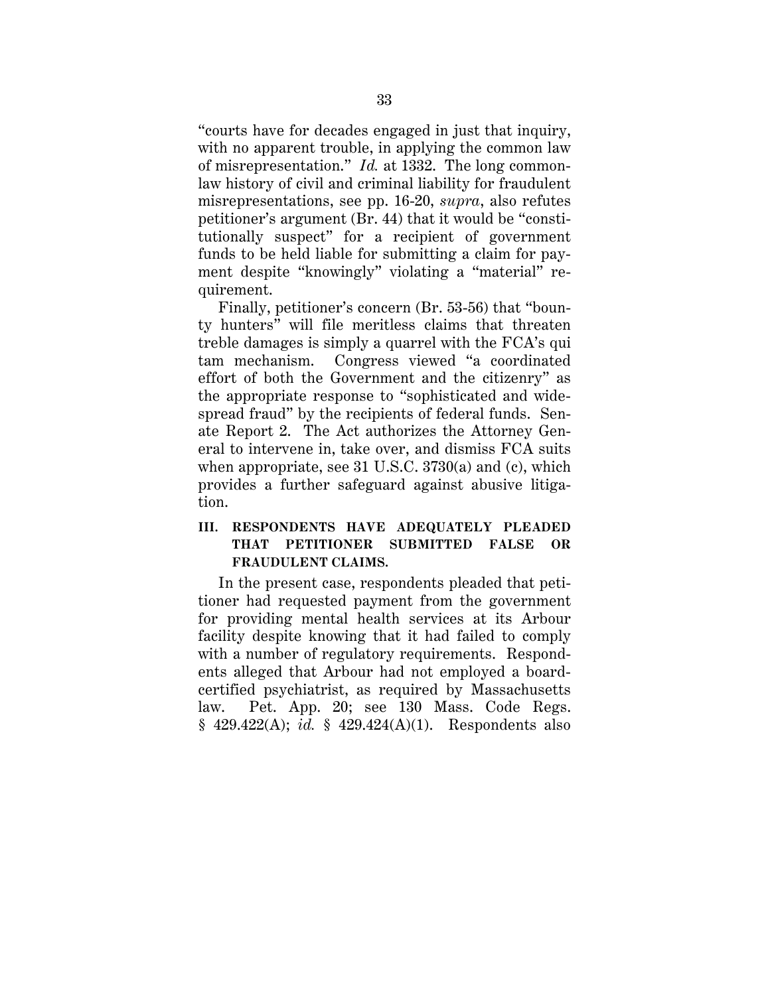"courts have for decades engaged in just that inquiry, with no apparent trouble, in applying the common law of misrepresentation." *Id.* at 1332. The long commonlaw history of civil and criminal liability for fraudulent misrepresentations, see pp. 16-20, *supra*, also refutes petitioner's argument (Br. 44) that it would be "constitutionally suspect" for a recipient of government funds to be held liable for submitting a claim for payment despite "knowingly" violating a "material" requirement.

Finally, petitioner's concern (Br. 53-56) that "bounty hunters" will file meritless claims that threaten treble damages is simply a quarrel with the FCA's qui tam mechanism. Congress viewed "a coordinated effort of both the Government and the citizenry" as the appropriate response to "sophisticated and widespread fraud" by the recipients of federal funds. Senate Report 2. The Act authorizes the Attorney General to intervene in, take over, and dismiss FCA suits when appropriate, see 31 U.S.C. 3730(a) and (c), which provides a further safeguard against abusive litigation.

## **III. RESPONDENTS HAVE ADEQUATELY PLEADED THAT PETITIONER SUBMITTED FALSE OR FRAUDULENT CLAIMS.**

In the present case, respondents pleaded that petitioner had requested payment from the government for providing mental health services at its Arbour facility despite knowing that it had failed to comply with a number of regulatory requirements. Respondents alleged that Arbour had not employed a boardcertified psychiatrist, as required by Massachusetts law. Pet. App. 20; see 130 Mass. Code Regs. § 429.422(A); *id.* § 429.424(A)(1). Respondents also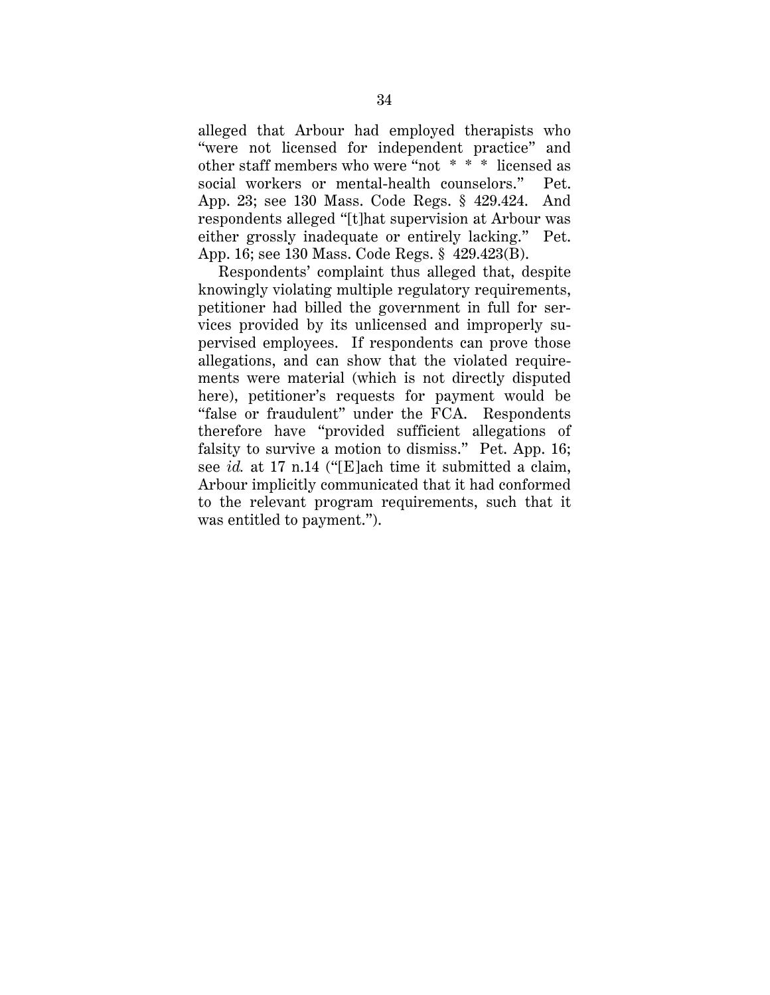alleged that Arbour had employed therapists who "were not licensed for independent practice" and other staff members who were "not \* \* \* licensed as social workers or mental-health counselors." Pet. App. 23; see 130 Mass. Code Regs. § 429.424. And respondents alleged "[t]hat supervision at Arbour was either grossly inadequate or entirely lacking." Pet. App. 16; see 130 Mass. Code Regs. § 429.423(B).

Respondents' complaint thus alleged that, despite knowingly violating multiple regulatory requirements, petitioner had billed the government in full for services provided by its unlicensed and improperly supervised employees. If respondents can prove those allegations, and can show that the violated requirements were material (which is not directly disputed here), petitioner's requests for payment would be "false or fraudulent" under the FCA. Respondents therefore have "provided sufficient allegations of falsity to survive a motion to dismiss." Pet. App. 16; see *id.* at 17 n.14 ("[E]ach time it submitted a claim, Arbour implicitly communicated that it had conformed to the relevant program requirements, such that it was entitled to payment.").